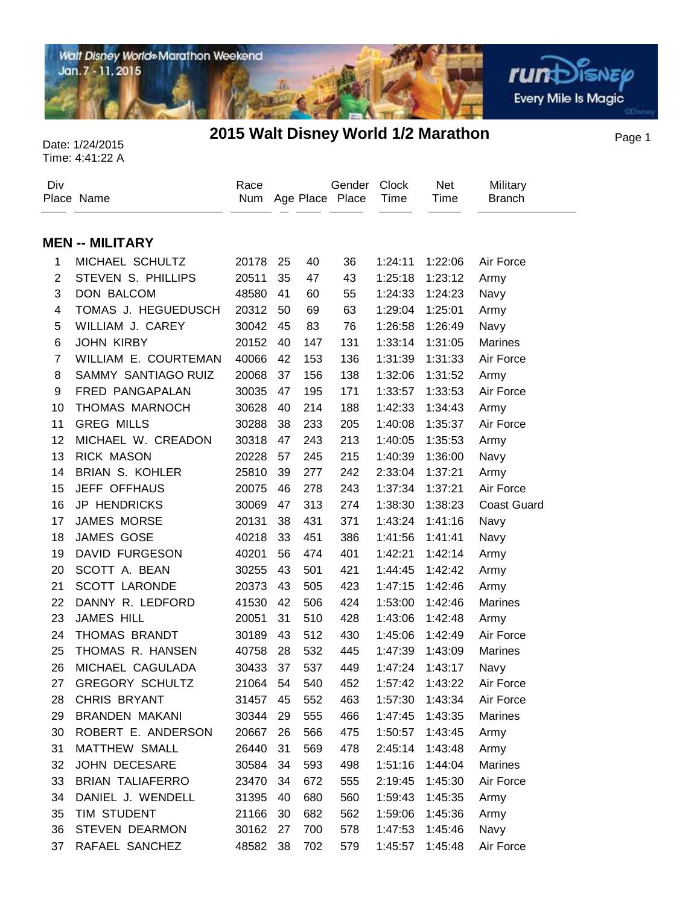

Page 1 Date: 1/24/2015 **2015 Walt Disney World 1/2 Marathon**

| Div            | Place Name              | Race<br>Num |    |     | Gender<br>Age Place Place | <b>Clock</b><br>Time | Net<br>Time | Military<br><b>Branch</b> |
|----------------|-------------------------|-------------|----|-----|---------------------------|----------------------|-------------|---------------------------|
|                | <b>MEN -- MILITARY</b>  |             |    |     |                           |                      |             |                           |
| 1              | MICHAEL SCHULTZ         | 20178       | 25 | 40  | 36                        | 1:24:11              | 1:22:06     | Air Force                 |
| $\mathbf{2}$   | STEVEN S. PHILLIPS      | 20511       | 35 | 47  | 43                        | 1:25:18              | 1:23:12     | Army                      |
| 3              | <b>DON BALCOM</b>       | 48580       | 41 | 60  | 55                        | 1:24:33              | 1:24:23     | Navy                      |
| 4              | TOMAS J. HEGUEDUSCH     | 20312       | 50 | 69  | 63                        | 1:29:04              | 1:25:01     | Army                      |
| 5              | WILLIAM J. CAREY        | 30042       | 45 | 83  | 76                        | 1:26:58              | 1:26:49     |                           |
| 6              | <b>JOHN KIRBY</b>       | 20152       | 40 | 147 | 131                       | 1:33:14              | 1:31:05     | Navy<br><b>Marines</b>    |
| $\overline{7}$ | WILLIAM E. COURTEMAN    | 40066       | 42 | 153 |                           |                      | 1:31:33     | Air Force                 |
|                |                         |             |    |     | 136                       | 1:31:39              |             |                           |
| 8              | SAMMY SANTIAGO RUIZ     | 20068       | 37 | 156 | 138                       | 1:32:06              | 1:31:52     | Army                      |
| 9              | FRED PANGAPALAN         | 30035       | 47 | 195 | 171                       | 1:33:57              | 1:33:53     | Air Force                 |
| 10             | THOMAS MARNOCH          | 30628       | 40 | 214 | 188                       | 1:42:33              | 1:34:43     | Army                      |
| 11             | <b>GREG MILLS</b>       | 30288       | 38 | 233 | 205                       | 1:40:08              | 1:35:37     | Air Force                 |
| 12             | MICHAEL W. CREADON      | 30318       | 47 | 243 | 213                       | 1:40:05              | 1:35:53     | Army                      |
| 13             | <b>RICK MASON</b>       | 20228       | 57 | 245 | 215                       | 1:40:39              | 1:36:00     | Navy                      |
| 14             | <b>BRIAN S. KOHLER</b>  | 25810       | 39 | 277 | 242                       | 2:33:04              | 1:37:21     | Army                      |
| 15             | JEFF OFFHAUS            | 20075       | 46 | 278 | 243                       | 1:37:34              | 1:37:21     | Air Force                 |
| 16             | <b>JP HENDRICKS</b>     | 30069       | 47 | 313 | 274                       | 1:38:30              | 1:38:23     | <b>Coast Guard</b>        |
| 17             | <b>JAMES MORSE</b>      | 20131       | 38 | 431 | 371                       | 1:43:24              | 1:41:16     | Navy                      |
| 18             | <b>JAMES GOSE</b>       | 40218       | 33 | 451 | 386                       | 1:41:56              | 1:41:41     | Navy                      |
| 19             | DAVID FURGESON          | 40201       | 56 | 474 | 401                       | 1:42:21              | 1:42:14     | Army                      |
| 20             | SCOTT A. BEAN           | 30255       | 43 | 501 | 421                       | 1:44:45              | 1:42:42     | Army                      |
| 21             | <b>SCOTT LARONDE</b>    | 20373       | 43 | 505 | 423                       | 1:47:15              | 1:42:46     | Army                      |
| 22             | DANNY R. LEDFORD        | 41530       | 42 | 506 | 424                       | 1:53:00              | 1:42:46     | <b>Marines</b>            |
| 23             | <b>JAMES HILL</b>       | 20051       | 31 | 510 | 428                       | 1:43:06              | 1:42:48     | Army                      |
| 24             | <b>THOMAS BRANDT</b>    | 30189       | 43 | 512 | 430                       | 1:45:06              | 1:42:49     | Air Force                 |
| 25             | THOMAS R. HANSEN        | 40758       | 28 | 532 | 445                       | 1:47:39              | 1:43:09     | Marines                   |
| 26             | MICHAEL CAGULADA        | 30433       | 37 | 537 | 449                       | 1:47:24              | 1:43:17     | Navy                      |
| 27             | <b>GREGORY SCHULTZ</b>  | 21064       | 54 | 540 | 452                       | 1:57:42              | 1:43:22     | Air Force                 |
| 28             | CHRIS BRYANT            | 31457       | 45 | 552 | 463                       | 1:57:30              | 1:43:34     | Air Force                 |
| 29             | <b>BRANDEN MAKANI</b>   | 30344       | 29 | 555 | 466                       | 1:47:45              | 1:43:35     | <b>Marines</b>            |
| 30             | ROBERT E. ANDERSON      | 20667       | 26 | 566 | 475                       | 1:50:57              | 1:43:45     | Army                      |
| 31             | MATTHEW SMALL           | 26440       | 31 | 569 | 478                       | 2:45:14              | 1:43:48     | Army                      |
| 32             | <b>JOHN DECESARE</b>    | 30584       | 34 | 593 | 498                       | 1:51:16              | 1:44:04     | Marines                   |
| 33             | <b>BRIAN TALIAFERRO</b> | 23470       | 34 | 672 | 555                       | 2:19:45              | 1:45:30     | Air Force                 |
| 34             | DANIEL J. WENDELL       | 31395       | 40 | 680 | 560                       | 1:59:43              | 1:45:35     | Army                      |
| 35             | TIM STUDENT             | 21166       | 30 | 682 | 562                       | 1:59:06              | 1:45:36     | Army                      |
| 36             | <b>STEVEN DEARMON</b>   | 30162       | 27 | 700 | 578                       | 1:47:53              | 1:45:46     | Navy                      |
| 37             | RAFAEL SANCHEZ          | 48582       | 38 | 702 | 579                       | 1:45:57              | 1:45:48     | Air Force                 |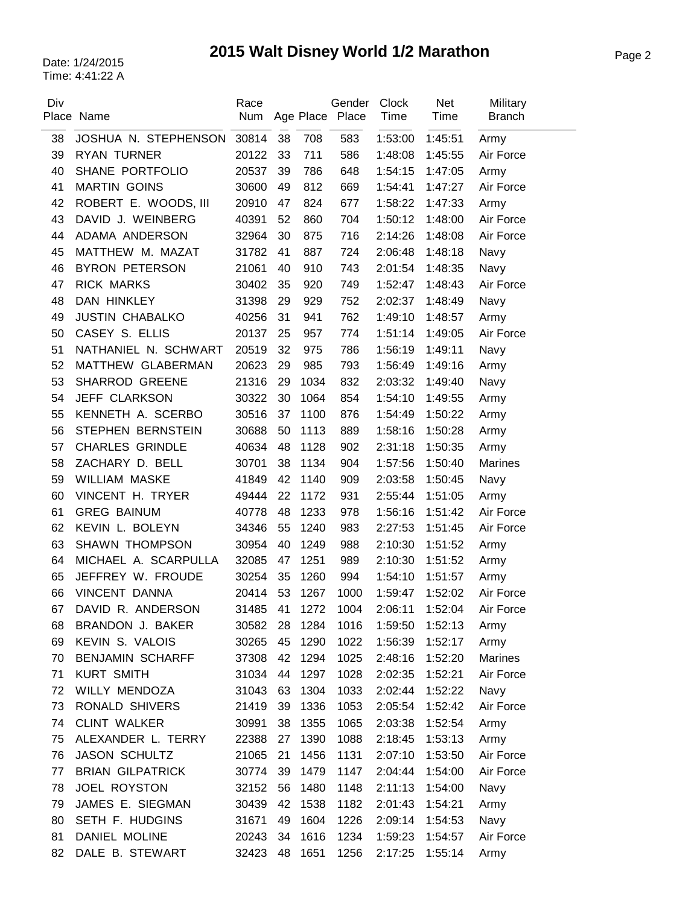# Page 2 Date: 1/24/2015 **2015 Walt Disney World 1/2 Marathon**

| Div | Place Name              | Race<br>Num |    |         | Gender<br>Age Place Place | <b>Clock</b><br>Time | <b>Net</b><br>Time | Military<br><b>Branch</b> |
|-----|-------------------------|-------------|----|---------|---------------------------|----------------------|--------------------|---------------------------|
| 38  | JOSHUA N. STEPHENSON    | 30814       | 38 | 708     | 583                       | 1:53:00              | 1:45:51            | Army                      |
| 39  | <b>RYAN TURNER</b>      | 20122       | 33 | 711     | 586                       | 1:48:08              | 1:45:55            | Air Force                 |
| 40  | SHANE PORTFOLIO         | 20537       | 39 | 786     | 648                       | 1:54:15              | 1:47:05            | Army                      |
| 41  | <b>MARTIN GOINS</b>     | 30600       | 49 | 812     | 669                       | 1:54:41              | 1:47:27            | Air Force                 |
| 42  | ROBERT E. WOODS, III    | 20910       | 47 | 824     | 677                       | 1:58:22              | 1:47:33            | Army                      |
| 43  | DAVID J. WEINBERG       | 40391       | 52 | 860     | 704                       | 1:50:12              | 1:48:00            | Air Force                 |
| 44  | ADAMA ANDERSON          | 32964       | 30 | 875     | 716                       | 2:14:26              | 1:48:08            | Air Force                 |
| 45  | MATTHEW M. MAZAT        | 31782       | 41 | 887     | 724                       | 2:06:48              | 1:48:18            | Navy                      |
| 46  | <b>BYRON PETERSON</b>   | 21061       | 40 | 910     | 743                       | 2:01:54              | 1:48:35            | Navy                      |
| 47  | <b>RICK MARKS</b>       | 30402       | 35 | 920     | 749                       | 1:52:47              | 1:48:43            | Air Force                 |
| 48  | DAN HINKLEY             | 31398       | 29 | 929     | 752                       | 2:02:37              | 1:48:49            | Navy                      |
| 49  | <b>JUSTIN CHABALKO</b>  | 40256       | 31 | 941     | 762                       | 1:49:10              | 1:48:57            | Army                      |
| 50  | CASEY S. ELLIS          | 20137       | 25 | 957     | 774                       | 1:51:14              | 1:49:05            | Air Force                 |
| 51  | NATHANIEL N. SCHWART    | 20519       | 32 | 975     | 786                       | 1:56:19              | 1:49:11            | Navy                      |
| 52  | MATTHEW GLABERMAN       | 20623       | 29 | 985     | 793                       | 1:56:49              | 1:49:16            | Army                      |
| 53  | <b>SHARROD GREENE</b>   | 21316       | 29 | 1034    | 832                       | 2:03:32              | 1:49:40            | Navy                      |
| 54  | JEFF CLARKSON           | 30322       | 30 | 1064    | 854                       | 1:54:10              | 1:49:55            | Army                      |
| 55  | KENNETH A. SCERBO       | 30516       | 37 | 1100    | 876                       | 1:54:49              | 1:50:22            | Army                      |
| 56  | STEPHEN BERNSTEIN       | 30688       | 50 | 1113    | 889                       | 1:58:16              | 1:50:28            | Army                      |
| 57  | <b>CHARLES GRINDLE</b>  | 40634       | 48 | 1128    | 902                       | 2:31:18              | 1:50:35            | Army                      |
| 58  | ZACHARY D. BELL         | 30701       | 38 | 1134    | 904                       | 1:57:56              | 1:50:40            | Marines                   |
| 59  | <b>WILLIAM MASKE</b>    | 41849       | 42 | 1140    | 909                       | 2:03:58              | 1:50:45            | Navy                      |
| 60  | VINCENT H. TRYER        | 49444       | 22 | 1172    | 931                       | 2:55:44              | 1:51:05            | Army                      |
| 61  | <b>GREG BAINUM</b>      | 40778       | 48 | 1233    | 978                       | 1:56:16              | 1:51:42            | Air Force                 |
| 62  | KEVIN L. BOLEYN         | 34346       | 55 | 1240    | 983                       | 2:27:53              | 1:51:45            | Air Force                 |
| 63  | <b>SHAWN THOMPSON</b>   | 30954       | 40 | 1249    | 988                       | 2:10:30              | 1:51:52            | Army                      |
| 64  | MICHAEL A. SCARPULLA    | 32085       | 47 | 1251    | 989                       | 2:10:30              | 1:51:52            | Army                      |
| 65  | JEFFREY W. FROUDE       | 30254       | 35 | 1260    | 994                       | 1:54:10              | 1:51:57            | Army                      |
| 66  | VINCENT DANNA           | 20414       | 53 | 1267    | 1000                      | 1:59:47              | 1:52:02            | Air Force                 |
| 67  | DAVID R. ANDERSON       | 31485       |    | 41 1272 | 1004                      | 2:06:11              | 1:52:04            | Air Force                 |
| 68  | BRANDON J. BAKER        | 30582       | 28 | 1284    | 1016                      | 1:59:50              | 1:52:13            | Army                      |
| 69  | KEVIN S. VALOIS         | 30265       | 45 | 1290    | 1022                      | 1:56:39              | 1:52:17            | Army                      |
| 70  | <b>BENJAMIN SCHARFF</b> | 37308       | 42 | 1294    | 1025                      | 2:48:16              | 1:52:20            | Marines                   |
| 71  | <b>KURT SMITH</b>       | 31034       | 44 | 1297    | 1028                      | 2:02:35              | 1:52:21            | Air Force                 |
| 72  | WILLY MENDOZA           | 31043       | 63 | 1304    | 1033                      | 2:02:44              | 1:52:22            | Navy                      |
| 73  | RONALD SHIVERS          | 21419       | 39 | 1336    | 1053                      | 2:05:54              | 1:52:42            | Air Force                 |
| 74  | <b>CLINT WALKER</b>     | 30991       | 38 | 1355    | 1065                      | 2:03:38              | 1:52:54            | Army                      |
| 75  | ALEXANDER L. TERRY      | 22388       | 27 | 1390    | 1088                      | 2:18:45              | 1:53:13            | Army                      |
| 76  | <b>JASON SCHULTZ</b>    | 21065       | 21 | 1456    | 1131                      | 2:07:10              | 1:53:50            | Air Force                 |
| 77  | <b>BRIAN GILPATRICK</b> | 30774       | 39 | 1479    | 1147                      | 2:04:44              | 1:54:00            | Air Force                 |
| 78  | <b>JOEL ROYSTON</b>     | 32152       | 56 | 1480    | 1148                      | 2:11:13              | 1:54:00            | Navy                      |
| 79  | JAMES E. SIEGMAN        | 30439       | 42 | 1538    | 1182                      | 2:01:43              | 1:54:21            | Army                      |
| 80  | SETH F. HUDGINS         | 31671       | 49 | 1604    | 1226                      | 2:09:14              | 1:54:53            | Navy                      |
| 81  | DANIEL MOLINE           | 20243       | 34 | 1616    | 1234                      | 1:59:23              | 1:54:57            | Air Force                 |
| 82  | DALE B. STEWART         | 32423       | 48 | 1651    | 1256                      | 2:17:25              | 1:55:14            | Army                      |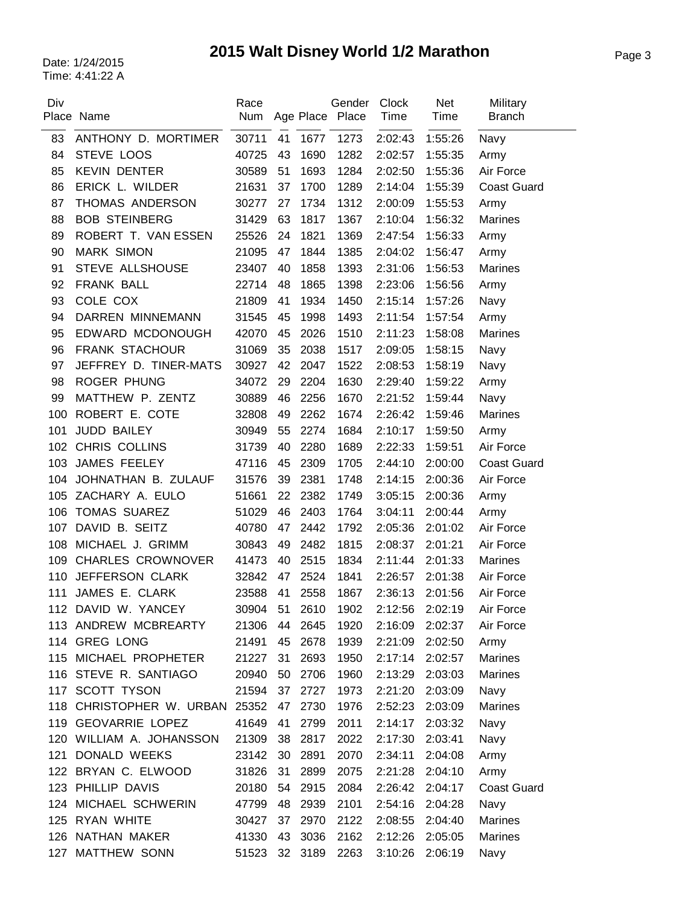# Page 3 Date: 1/24/2015 **2015 Walt Disney World 1/2 Marathon**

| Div | Place Name               | Race<br>Num   |    |         | Gender<br>Age Place Place | <b>Clock</b><br>Time | <b>Net</b><br>Time | Military<br><b>Branch</b> |
|-----|--------------------------|---------------|----|---------|---------------------------|----------------------|--------------------|---------------------------|
| 83  | ANTHONY D. MORTIMER      | 30711         | 41 | 1677    | 1273                      | 2:02:43              | 1:55:26            | Navy                      |
| 84  | STEVE LOOS               | 40725         | 43 | 1690    | 1282                      | 2:02:57              | 1:55:35            | Army                      |
| 85  | <b>KEVIN DENTER</b>      | 30589         | 51 | 1693    | 1284                      | 2:02:50              | 1:55:36            | Air Force                 |
| 86  | ERICK L. WILDER          | 21631         | 37 | 1700    | 1289                      | 2:14:04              | 1:55:39            | <b>Coast Guard</b>        |
| 87  | THOMAS ANDERSON          | 30277         | 27 | 1734    | 1312                      | 2:00:09              | 1:55:53            | Army                      |
| 88  | <b>BOB STEINBERG</b>     | 31429         | 63 | 1817    | 1367                      | 2:10:04              | 1:56:32            | <b>Marines</b>            |
| 89  | ROBERT T. VAN ESSEN      | 25526         | 24 | 1821    | 1369                      | 2:47:54              | 1:56:33            | Army                      |
| 90  | <b>MARK SIMON</b>        | 21095         | 47 | 1844    | 1385                      | 2:04:02              | 1:56:47            | Army                      |
| 91  | STEVE ALLSHOUSE          | 23407         | 40 | 1858    | 1393                      | 2:31:06              | 1:56:53            | <b>Marines</b>            |
| 92  | FRANK BALL               | 22714         | 48 | 1865    | 1398                      | 2:23:06              | 1:56:56            | Army                      |
| 93  | COLE COX                 | 21809         | 41 | 1934    | 1450                      | 2:15:14              | 1:57:26            | Navy                      |
| 94  | DARREN MINNEMANN         | 31545         | 45 | 1998    | 1493                      | 2:11:54              | 1:57:54            | Army                      |
| 95  | EDWARD MCDONOUGH         | 42070         | 45 | 2026    | 1510                      | 2:11:23              | 1:58:08            | <b>Marines</b>            |
| 96  | <b>FRANK STACHOUR</b>    | 31069         | 35 | 2038    | 1517                      | 2:09:05              | 1:58:15            | Navy                      |
| 97  | JEFFREY D. TINER-MATS    | 30927         | 42 | 2047    | 1522                      | 2:08:53              | 1:58:19            | Navy                      |
| 98  | <b>ROGER PHUNG</b>       | 34072         | 29 | 2204    | 1630                      | 2:29:40              | 1:59:22            | Army                      |
| 99  | MATTHEW P. ZENTZ         | 30889         | 46 | 2256    | 1670                      | 2:21:52              | 1:59:44            | Navy                      |
| 100 | ROBERT E. COTE           | 32808         | 49 | 2262    | 1674                      | 2:26:42              | 1:59:46            | Marines                   |
| 101 | JUDD BAILEY              | 30949         | 55 | 2274    | 1684                      | 2:10:17              | 1:59:50            | Army                      |
| 102 | CHRIS COLLINS            | 31739         | 40 | 2280    | 1689                      | 2:22:33              | 1:59:51            | Air Force                 |
| 103 | JAMES FEELEY             | 47116         | 45 | 2309    | 1705                      | 2:44:10              | 2:00:00            | <b>Coast Guard</b>        |
| 104 | JOHNATHAN B. ZULAUF      | 31576         | 39 | 2381    | 1748                      | 2:14:15              | 2:00:36            | Air Force                 |
| 105 | ZACHARY A. EULO          | 51661         | 22 | 2382    | 1749                      | 3:05:15              | 2:00:36            | Army                      |
| 106 | <b>TOMAS SUAREZ</b>      | 51029         | 46 | 2403    | 1764                      | 3:04:11              | 2:00:44            | Army                      |
| 107 | DAVID B. SEITZ           | 40780         | 47 | 2442    | 1792                      | 2:05:36              | 2:01:02            | Air Force                 |
| 108 | MICHAEL J. GRIMM         | 30843         | 49 | 2482    | 1815                      | 2:08:37              | 2:01:21            | Air Force                 |
| 109 | <b>CHARLES CROWNOVER</b> | 41473         | 40 | 2515    | 1834                      | 2:11:44              | 2:01:33            | <b>Marines</b>            |
| 110 | JEFFERSON CLARK          | 32842         | 47 | 2524    | 1841                      | 2:26:57              | 2:01:38            | Air Force                 |
| 111 | JAMES E. CLARK           | 23588         | 41 | 2558    | 1867                      | 2:36:13              | 2:01:56            | Air Force                 |
|     | 112 DAVID W. YANCEY      | 30904 51 2610 |    |         | 1902                      | 2:12:56 2:02:19      |                    | Air Force                 |
|     | 113 ANDREW MCBREARTY     | 21306         | 44 | 2645    | 1920                      | 2:16:09              | 2:02:37            | Air Force                 |
|     | 114 GREG LONG            | 21491         | 45 | 2678    | 1939                      | 2:21:09              | 2:02:50            | Army                      |
|     | 115 MICHAEL PROPHETER    | 21227         | 31 | 2693    | 1950                      | 2:17:14              | 2:02:57            | <b>Marines</b>            |
|     | 116 STEVE R. SANTIAGO    | 20940         | 50 | 2706    | 1960                      | 2:13:29              | 2:03:03            | <b>Marines</b>            |
|     | 117 SCOTT TYSON          | 21594         | 37 | 2727    | 1973                      | 2:21:20              | 2:03:09            | Navy                      |
|     | 118 CHRISTOPHER W. URBAN | 25352         | 47 | 2730    | 1976                      | 2:52:23              | 2:03:09            | Marines                   |
|     | 119 GEOVARRIE LOPEZ      | 41649         | 41 | 2799    | 2011                      | 2:14:17              | 2:03:32            | Navy                      |
|     | 120 WILLIAM A. JOHANSSON | 21309         | 38 | 2817    | 2022                      | 2:17:30              | 2:03:41            | Navy                      |
| 121 | DONALD WEEKS             | 23142         | 30 | 2891    | 2070                      | 2:34:11              | 2:04:08            | Army                      |
|     | 122 BRYAN C. ELWOOD      | 31826         | 31 | 2899    | 2075                      | 2:21:28              | 2:04:10            | Army                      |
|     | 123 PHILLIP DAVIS        | 20180         | 54 | 2915    | 2084                      | 2:26:42              | 2:04:17            | <b>Coast Guard</b>        |
| 124 | MICHAEL SCHWERIN         | 47799         | 48 | 2939    | 2101                      | 2:54:16              | 2:04:28            | Navy                      |
|     | 125 RYAN WHITE           | 30427         | 37 | 2970    | 2122                      | 2:08:55              | 2:04:40            | <b>Marines</b>            |
|     | 126 NATHAN MAKER         | 41330         | 43 | 3036    | 2162                      | 2:12:26              | 2:05:05            | Marines                   |
| 127 | MATTHEW SONN             | 51523         |    | 32 3189 | 2263                      | 3:10:26              | 2:06:19            | Navy                      |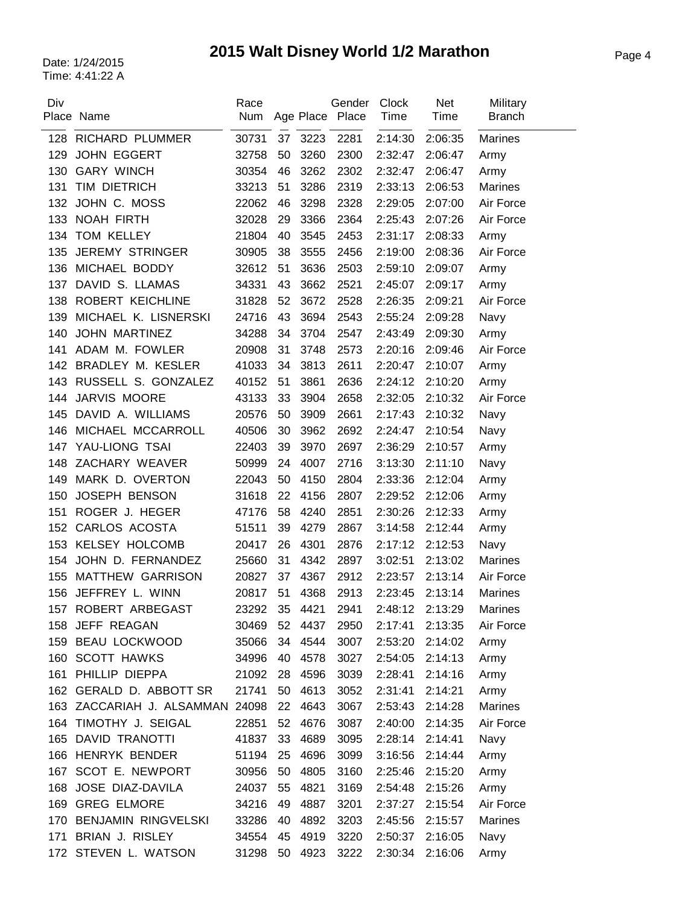# Page 4 Date: 1/24/2015 **2015 Walt Disney World 1/2 Marathon**

| Div | Place Name                      | Race<br>Num |    |      | Gender<br>Age Place Place | Clock<br>Time | <b>Net</b><br>Time | Military<br><b>Branch</b> |
|-----|---------------------------------|-------------|----|------|---------------------------|---------------|--------------------|---------------------------|
| 128 | <b>RICHARD PLUMMER</b>          | 30731       | 37 | 3223 | 2281                      | 2:14:30       | 2:06:35            | <b>Marines</b>            |
| 129 | <b>JOHN EGGERT</b>              | 32758       | 50 | 3260 | 2300                      | 2:32:47       | 2:06:47            | Army                      |
| 130 | <b>GARY WINCH</b>               | 30354       | 46 | 3262 | 2302                      | 2:32:47       | 2:06:47            | Army                      |
| 131 | TIM DIETRICH                    | 33213       | 51 | 3286 | 2319                      | 2:33:13       | 2:06:53            | Marines                   |
| 132 | JOHN C. MOSS                    | 22062       | 46 | 3298 | 2328                      | 2:29:05       | 2:07:00            | Air Force                 |
| 133 | NOAH FIRTH                      | 32028       | 29 | 3366 | 2364                      | 2:25:43       | 2:07:26            | Air Force                 |
| 134 | TOM KELLEY                      | 21804       | 40 | 3545 | 2453                      | 2:31:17       | 2:08:33            | Army                      |
| 135 | <b>JEREMY STRINGER</b>          | 30905       | 38 | 3555 | 2456                      | 2:19:00       | 2:08:36            | Air Force                 |
| 136 | MICHAEL BODDY                   | 32612       | 51 | 3636 | 2503                      | 2:59:10       | 2:09:07            | Army                      |
| 137 | DAVID S. LLAMAS                 | 34331       | 43 | 3662 | 2521                      | 2:45:07       | 2:09:17            | Army                      |
| 138 | ROBERT KEICHLINE                | 31828       | 52 | 3672 | 2528                      | 2:26:35       | 2:09:21            | Air Force                 |
| 139 | MICHAEL K. LISNERSKI            | 24716       | 43 | 3694 | 2543                      | 2:55:24       | 2:09:28            | Navy                      |
| 140 | <b>JOHN MARTINEZ</b>            | 34288       | 34 | 3704 | 2547                      | 2:43:49       | 2:09:30            | Army                      |
| 141 | ADAM M. FOWLER                  | 20908       | 31 | 3748 | 2573                      | 2:20:16       | 2:09:46            | Air Force                 |
| 142 | BRADLEY M. KESLER               | 41033       | 34 | 3813 | 2611                      | 2:20:47       | 2:10:07            | Army                      |
| 143 | RUSSELL S. GONZALEZ             | 40152       | 51 | 3861 | 2636                      | 2:24:12       | 2:10:20            | Army                      |
| 144 | JARVIS MOORE                    | 43133       | 33 | 3904 | 2658                      | 2:32:05       | 2:10:32            | Air Force                 |
| 145 | DAVID A. WILLIAMS               | 20576       | 50 | 3909 | 2661                      | 2:17:43       | 2:10:32            | Navy                      |
| 146 | MICHAEL MCCARROLL               | 40506       | 30 | 3962 | 2692                      | 2:24:47       | 2:10:54            | Navy                      |
| 147 | YAU-LIONG TSAI                  | 22403       | 39 | 3970 | 2697                      | 2:36:29       | 2:10:57            | Army                      |
| 148 | ZACHARY WEAVER                  | 50999       | 24 | 4007 | 2716                      | 3:13:30       | 2:11:10            | Navy                      |
| 149 | MARK D. OVERTON                 | 22043       | 50 | 4150 | 2804                      | 2:33:36       | 2:12:04            | Army                      |
| 150 | <b>JOSEPH BENSON</b>            | 31618       | 22 | 4156 | 2807                      | 2:29:52       | 2:12:06            | Army                      |
| 151 | ROGER J. HEGER                  | 47176       | 58 | 4240 | 2851                      | 2:30:26       | 2:12:33            | Army                      |
| 152 | CARLOS ACOSTA                   | 51511       | 39 | 4279 | 2867                      | 3:14:58       | 2:12:44            | Army                      |
| 153 | <b>KELSEY HOLCOMB</b>           | 20417       | 26 | 4301 | 2876                      | 2:17:12       | 2:12:53            | Navy                      |
| 154 | JOHN D. FERNANDEZ               | 25660       | 31 | 4342 | 2897                      | 3:02:51       | 2:13:02            | <b>Marines</b>            |
| 155 | <b>MATTHEW GARRISON</b>         | 20827       | 37 | 4367 | 2912                      | 2:23:57       | 2:13:14            | Air Force                 |
| 156 | JEFFREY L. WINN                 | 20817       | 51 | 4368 | 2913                      | 2:23:45       | 2:13:14            | <b>Marines</b>            |
| 157 | ROBERT ARBEGAST                 | 23292       | 35 | 4421 | 2941                      | 2:48:12       | 2:13:29            | Marines                   |
| 158 | JEFF REAGAN                     | 30469       | 52 | 4437 | 2950                      | 2:17:41       | 2:13:35            | Air Force                 |
|     | 159 BEAU LOCKWOOD               | 35066       | 34 | 4544 | 3007                      | 2:53:20       | 2:14:02            | Army                      |
|     | 160 SCOTT HAWKS                 | 34996       | 40 | 4578 | 3027                      | 2:54:05       | 2:14:13            | Army                      |
| 161 | PHILLIP DIEPPA                  | 21092       | 28 | 4596 | 3039                      | 2:28:41       | 2:14:16            | Army                      |
|     | 162 GERALD D. ABBOTT SR         | 21741       | 50 | 4613 | 3052                      | 2:31:41       | 2:14:21            | Army                      |
|     | 163 ZACCARIAH J. ALSAMMAN 24098 |             | 22 | 4643 | 3067                      | 2:53:43       | 2:14:28            | Marines                   |
|     | 164 TIMOTHY J. SEIGAL           | 22851       | 52 | 4676 | 3087                      | 2:40:00       | 2:14:35            | Air Force                 |
|     | 165 DAVID TRANOTTI              | 41837       | 33 | 4689 | 3095                      | 2:28:14       | 2:14:41            | Navy                      |
|     | 166 HENRYK BENDER               | 51194       | 25 | 4696 | 3099                      | 3:16:56       | 2:14:44            | Army                      |
|     | 167 SCOT E. NEWPORT             | 30956       | 50 | 4805 | 3160                      | 2:25:46       | 2:15:20            | Army                      |
| 168 | JOSE DIAZ-DAVILA                | 24037       | 55 | 4821 | 3169                      | 2:54:48       | 2:15:26            | Army                      |
| 169 | <b>GREG ELMORE</b>              | 34216       | 49 | 4887 | 3201                      | 2:37:27       | 2:15:54            | Air Force                 |
|     | 170 BENJAMIN RINGVELSKI         | 33286       | 40 | 4892 | 3203                      | 2:45:56       | 2:15:57            | <b>Marines</b>            |
| 171 | BRIAN J. RISLEY                 | 34554       | 45 | 4919 | 3220                      | 2:50:37       | 2:16:05            | Navy                      |
|     | 172 STEVEN L. WATSON            | 31298       | 50 | 4923 | 3222                      | 2:30:34       | 2:16:06            | Army                      |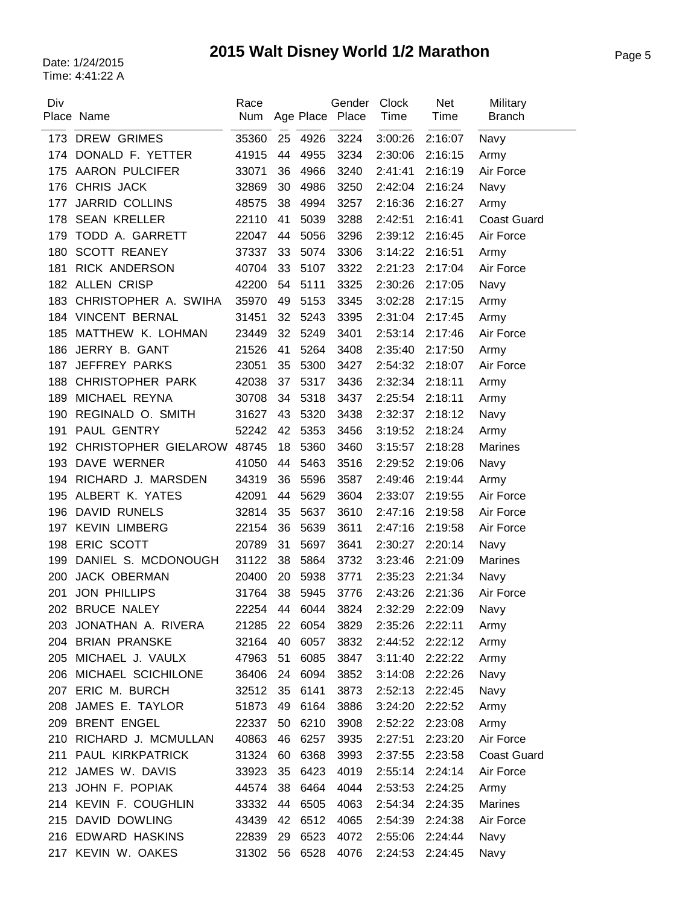# Page 5 Date: 1/24/2015 **2015 Walt Disney World 1/2 Marathon**

| Div | Place Name                 | Race<br>Num   |    |      | Gender<br>Age Place Place | Clock<br>Time | <b>Net</b><br>Time | Military<br><b>Branch</b> |
|-----|----------------------------|---------------|----|------|---------------------------|---------------|--------------------|---------------------------|
|     | 173 DREW GRIMES            | 35360         | 25 | 4926 | 3224                      | 3:00:26       | 2:16:07            | Navy                      |
| 174 | DONALD F. YETTER           | 41915         | 44 | 4955 | 3234                      | 2:30:06       | 2:16:15            | Army                      |
| 175 | <b>AARON PULCIFER</b>      | 33071         | 36 | 4966 | 3240                      | 2:41:41       | 2:16:19            | Air Force                 |
| 176 | CHRIS JACK                 | 32869         | 30 | 4986 | 3250                      | 2:42:04       | 2:16:24            | Navy                      |
| 177 | <b>JARRID COLLINS</b>      | 48575         | 38 | 4994 | 3257                      | 2:16:36       | 2:16:27            | Army                      |
| 178 | <b>SEAN KRELLER</b>        | 22110         | 41 | 5039 | 3288                      | 2:42:51       | 2:16:41            | <b>Coast Guard</b>        |
| 179 | TODD A. GARRETT            | 22047         | 44 | 5056 | 3296                      | 2:39:12       | 2:16:45            | Air Force                 |
| 180 | <b>SCOTT REANEY</b>        | 37337         | 33 | 5074 | 3306                      | 3:14:22       | 2:16:51            | Army                      |
| 181 | RICK ANDERSON              | 40704         | 33 | 5107 | 3322                      | 2:21:23       | 2:17:04            | Air Force                 |
|     | 182 ALLEN CRISP            | 42200         | 54 | 5111 | 3325                      | 2:30:26       | 2:17:05            | Navy                      |
| 183 | CHRISTOPHER A. SWIHA       | 35970         | 49 | 5153 | 3345                      | 3:02:28       | 2:17:15            | Army                      |
|     | 184 VINCENT BERNAL         | 31451         | 32 | 5243 | 3395                      | 2:31:04       | 2:17:45            | Army                      |
| 185 | MATTHEW K. LOHMAN          | 23449         | 32 | 5249 | 3401                      | 2:53:14       | 2:17:46            | Air Force                 |
| 186 | JERRY B. GANT              | 21526         | 41 | 5264 | 3408                      | 2:35:40       | 2:17:50            | Army                      |
| 187 | <b>JEFFREY PARKS</b>       | 23051         | 35 | 5300 | 3427                      | 2:54:32       | 2:18:07            | Air Force                 |
| 188 | <b>CHRISTOPHER PARK</b>    | 42038         | 37 | 5317 | 3436                      | 2:32:34       | 2:18:11            | Army                      |
| 189 | MICHAEL REYNA              | 30708         | 34 | 5318 | 3437                      | 2:25:54       | 2:18:11            | Army                      |
| 190 | REGINALD O. SMITH          | 31627         | 43 | 5320 | 3438                      | 2:32:37       | 2:18:12            | Navy                      |
| 191 | PAUL GENTRY                | 52242         | 42 | 5353 | 3456                      | 3:19:52       | 2:18:24            | Army                      |
| 192 | CHRISTOPHER GIELAROW 48745 |               | 18 | 5360 | 3460                      | 3:15:57       | 2:18:28            | <b>Marines</b>            |
| 193 | DAVE WERNER                | 41050         | 44 | 5463 | 3516                      | 2:29:52       | 2:19:06            | Navy                      |
| 194 | RICHARD J. MARSDEN         | 34319         | 36 | 5596 | 3587                      | 2:49:46       | 2:19:44            | Army                      |
| 195 | ALBERT K. YATES            | 42091         | 44 | 5629 | 3604                      | 2:33:07       | 2:19:55            | Air Force                 |
| 196 | <b>DAVID RUNELS</b>        | 32814         | 35 | 5637 | 3610                      | 2:47:16       | 2:19:58            | Air Force                 |
| 197 | <b>KEVIN LIMBERG</b>       | 22154         | 36 | 5639 | 3611                      | 2:47:16       | 2:19:58            | Air Force                 |
| 198 | ERIC SCOTT                 | 20789         | 31 | 5697 | 3641                      | 2:30:27       | 2:20:14            | Navy                      |
| 199 | DANIEL S. MCDONOUGH        | 31122         | 38 | 5864 | 3732                      | 3:23:46       | 2:21:09            | <b>Marines</b>            |
| 200 | JACK OBERMAN               | 20400         | 20 | 5938 | 3771                      | 2:35:23       | 2:21:34            | Navy                      |
| 201 | <b>JON PHILLIPS</b>        | 31764         | 38 | 5945 | 3776                      | 2:43:26       | 2:21:36            | Air Force                 |
|     | 202 BRUCE NALEY            | 22254 44 6044 |    |      | 3824                      | 2:32:29       | 2:22:09            | Navy                      |
|     | 203 JONATHAN A. RIVERA     | 21285         | 22 | 6054 | 3829                      | 2:35:26       | 2:22:11            | Army                      |
|     | 204 BRIAN PRANSKE          | 32164         | 40 | 6057 | 3832                      | 2:44:52       | 2:22:12            | Army                      |
| 205 | MICHAEL J. VAULX           | 47963         | 51 | 6085 | 3847                      | 3:11:40       | 2:22:22            | Army                      |
| 206 | MICHAEL SCICHILONE         | 36406         | 24 | 6094 | 3852                      | 3:14:08       | 2:22:26            | Navy                      |
| 207 | ERIC M. BURCH              | 32512         | 35 | 6141 | 3873                      | 2:52:13       | 2:22:45            | Navy                      |
| 208 | JAMES E. TAYLOR            | 51873         | 49 | 6164 | 3886                      | 3:24:20       | 2:22:52            | Army                      |
| 209 | <b>BRENT ENGEL</b>         | 22337         | 50 | 6210 | 3908                      | 2:52:22       | 2:23:08            | Army                      |
|     | 210 RICHARD J. MCMULLAN    | 40863         | 46 | 6257 | 3935                      | 2:27:51       | 2:23:20            | Air Force                 |
| 211 | PAUL KIRKPATRICK           | 31324         | 60 | 6368 | 3993                      | 2:37:55       | 2:23:58            | <b>Coast Guard</b>        |
|     | 212 JAMES W. DAVIS         | 33923         | 35 | 6423 | 4019                      | 2:55:14       | 2:24:14            | Air Force                 |
|     | 213 JOHN F. POPIAK         | 44574         | 38 | 6464 | 4044                      | 2:53:53       | 2:24:25            | Army                      |
|     | 214 KEVIN F. COUGHLIN      | 33332         | 44 | 6505 | 4063                      | 2:54:34       | 2:24:35            | Marines                   |
|     | 215 DAVID DOWLING          | 43439         | 42 | 6512 | 4065                      | 2:54:39       | 2:24:38            | Air Force                 |
|     | 216 EDWARD HASKINS         | 22839         | 29 | 6523 | 4072                      | 2:55:06       | 2:24:44            | Navy                      |
| 217 | KEVIN W. OAKES             | 31302         | 56 | 6528 | 4076                      | 2:24:53       | 2:24:45            | Navy                      |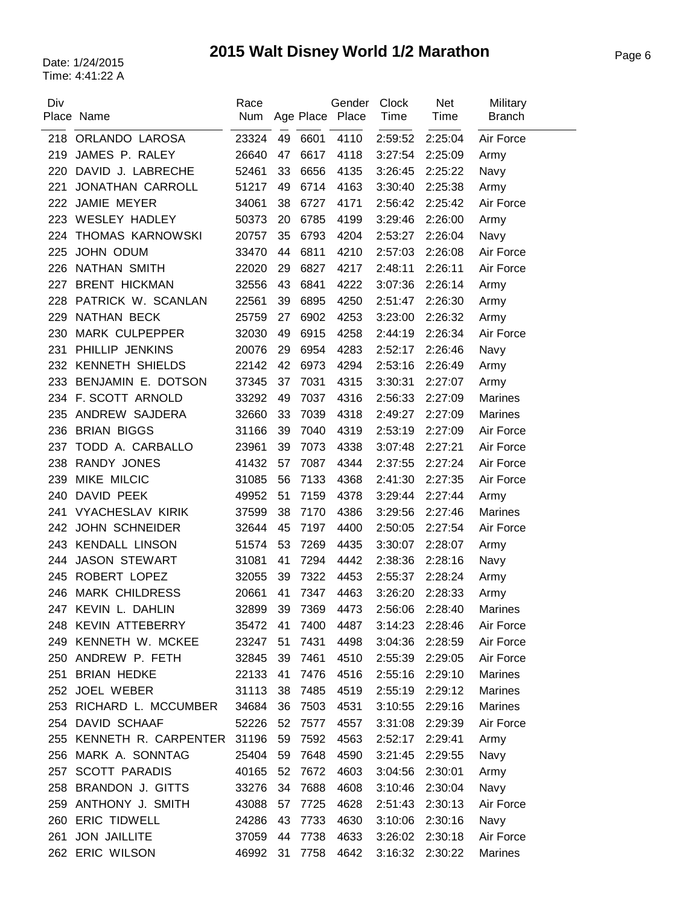# Page 6 Date: 1/24/2015 **2015 Walt Disney World 1/2 Marathon**

| Div | Place Name                     | Race  |    |         | Gender<br>Num Age Place Place | <b>Clock</b><br>Time | <b>Net</b><br>Time | Military<br><b>Branch</b> |
|-----|--------------------------------|-------|----|---------|-------------------------------|----------------------|--------------------|---------------------------|
|     | 218 ORLANDO LAROSA             | 23324 |    | 49 6601 | 4110                          | 2:59:52              | 2:25:04            | Air Force                 |
| 219 | JAMES P. RALEY                 | 26640 | 47 | 6617    | 4118                          | 3:27:54              | 2:25:09            | Army                      |
| 220 | DAVID J. LABRECHE              | 52461 | 33 | 6656    | 4135                          | 3:26:45              | 2:25:22            | Navy                      |
| 221 | <b>JONATHAN CARROLL</b>        | 51217 | 49 | 6714    | 4163                          | 3:30:40              | 2:25:38            | Army                      |
| 222 | JAMIE MEYER                    | 34061 | 38 | 6727    | 4171                          | 2:56:42              | 2:25:42            | Air Force                 |
| 223 | <b>WESLEY HADLEY</b>           | 50373 | 20 | 6785    | 4199                          | 3:29:46              | 2:26:00            | Army                      |
| 224 | THOMAS KARNOWSKI               | 20757 | 35 | 6793    | 4204                          | 2:53:27              | 2:26:04            | Navy                      |
| 225 | JOHN ODUM                      | 33470 | 44 | 6811    | 4210                          | 2:57:03              | 2:26:08            | Air Force                 |
| 226 | NATHAN SMITH                   | 22020 | 29 | 6827    | 4217                          | 2:48:11              | 2:26:11            | Air Force                 |
| 227 | <b>BRENT HICKMAN</b>           | 32556 | 43 | 6841    | 4222                          | 3:07:36              | 2:26:14            | Army                      |
| 228 | PATRICK W. SCANLAN             | 22561 | 39 | 6895    | 4250                          | 2:51:47              | 2:26:30            | Army                      |
| 229 | NATHAN BECK                    | 25759 | 27 | 6902    | 4253                          | 3:23:00              | 2:26:32            | Army                      |
| 230 | MARK CULPEPPER                 | 32030 | 49 | 6915    | 4258                          | 2:44:19              | 2:26:34            | Air Force                 |
| 231 | PHILLIP JENKINS                | 20076 | 29 | 6954    | 4283                          | 2:52:17              | 2:26:46            | Navy                      |
| 232 | <b>KENNETH SHIELDS</b>         | 22142 | 42 | 6973    | 4294                          | 2:53:16              | 2:26:49            | Army                      |
| 233 | BENJAMIN E. DOTSON             | 37345 | 37 | 7031    | 4315                          | 3:30:31              | 2:27:07            | Army                      |
|     | 234 F. SCOTT ARNOLD            | 33292 | 49 | 7037    | 4316                          | 2:56:33              | 2:27:09            | <b>Marines</b>            |
| 235 | ANDREW SAJDERA                 | 32660 | 33 | 7039    | 4318                          | 2:49:27              | 2:27:09            | Marines                   |
| 236 | <b>BRIAN BIGGS</b>             | 31166 | 39 | 7040    | 4319                          | 2:53:19              | 2:27:09            | Air Force                 |
| 237 | TODD A. CARBALLO               | 23961 | 39 | 7073    | 4338                          | 3:07:48              | 2:27:21            | Air Force                 |
| 238 | RANDY JONES                    | 41432 | 57 | 7087    | 4344                          | 2:37:55              | 2:27:24            | Air Force                 |
| 239 | MIKE MILCIC                    | 31085 | 56 | 7133    | 4368                          | 2:41:30              | 2:27:35            | Air Force                 |
| 240 | DAVID PEEK                     | 49952 | 51 | 7159    | 4378                          | 3:29:44              | 2:27:44            | Army                      |
| 241 | <b>VYACHESLAV KIRIK</b>        | 37599 | 38 | 7170    | 4386                          | 3:29:56              | 2:27:46            | <b>Marines</b>            |
| 242 | <b>JOHN SCHNEIDER</b>          | 32644 | 45 | 7197    | 4400                          | 2:50:05              | 2:27:54            | Air Force                 |
| 243 | <b>KENDALL LINSON</b>          | 51574 | 53 | 7269    | 4435                          | 3:30:07              | 2:28:07            | Army                      |
| 244 | <b>JASON STEWART</b>           | 31081 | 41 | 7294    | 4442                          | 2:38:36              | 2:28:16            | Navy                      |
| 245 | ROBERT LOPEZ                   | 32055 | 39 | 7322    | 4453                          | 2:55:37              | 2:28:24            | Army                      |
| 246 | <b>MARK CHILDRESS</b>          | 20661 | 41 | 7347    | 4463                          | 3:26:20              | 2:28:33            | Army                      |
| 247 | KEVIN L. DAHLIN                | 32899 | 39 | 7369    | 4473                          | 2:56:06              | 2:28:40            | <b>Marines</b>            |
|     | 248 KEVIN ATTEBERRY            | 35472 | 41 | 7400    | 4487                          | 3:14:23              | 2:28:46            | Air Force                 |
|     | 249 KENNETH W. MCKEE           | 23247 | 51 | 7431    | 4498                          | 3:04:36              | 2:28:59            | Air Force                 |
|     | 250 ANDREW P. FETH             | 32845 | 39 | 7461    | 4510                          | 2:55:39              | 2:29:05            | Air Force                 |
| 251 | <b>BRIAN HEDKE</b>             | 22133 | 41 | 7476    | 4516                          | 2:55:16              | 2:29:10            | Marines                   |
|     | 252 JOEL WEBER                 | 31113 | 38 | 7485    | 4519                          | 2:55:19              | 2:29:12            | <b>Marines</b>            |
|     | 253 RICHARD L. MCCUMBER        | 34684 | 36 | 7503    | 4531                          | 3:10:55              | 2:29:16            | Marines                   |
|     | 254 DAVID SCHAAF               | 52226 | 52 | 7577    | 4557                          | 3:31:08              | 2:29:39            | Air Force                 |
|     | 255 KENNETH R. CARPENTER 31196 |       | 59 | 7592    | 4563                          | 2:52:17              | 2:29:41            | Army                      |
|     | 256 MARK A. SONNTAG            | 25404 | 59 | 7648    | 4590                          | 3:21:45              | 2:29:55            | Navy                      |
|     | 257 SCOTT PARADIS              | 40165 | 52 | 7672    | 4603                          | 3:04:56              | 2:30:01            | Army                      |
| 258 | <b>BRANDON J. GITTS</b>        | 33276 | 34 | 7688    | 4608                          | 3:10:46              | 2:30:04            | Navy                      |
|     | 259 ANTHONY J. SMITH           | 43088 | 57 | 7725    | 4628                          | 2:51:43              | 2:30:13            | Air Force                 |
|     | 260 ERIC TIDWELL               | 24286 | 43 | 7733    | 4630                          | 3:10:06              | 2:30:16            | Navy                      |
| 261 | <b>JON JAILLITE</b>            | 37059 | 44 | 7738    | 4633                          | 3:26:02              | 2:30:18            | Air Force                 |
|     | 262 ERIC WILSON                | 46992 | 31 | 7758    | 4642                          | 3:16:32              | 2:30:22            | <b>Marines</b>            |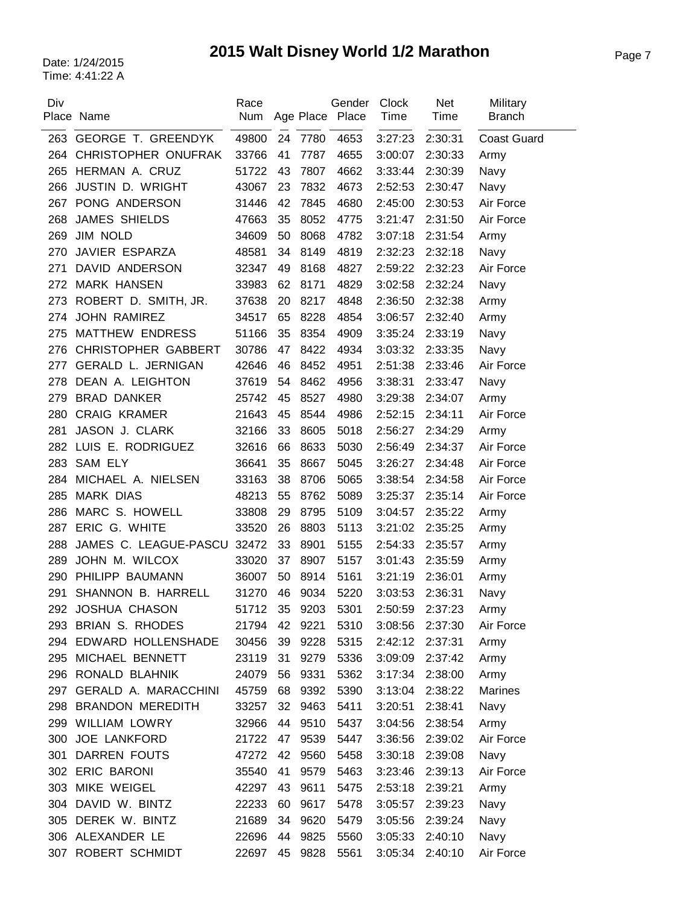# Page 7 Date: 1/24/2015 **2015 Walt Disney World 1/2 Marathon**

| Div | Place Name                  | Race<br>Num |    |         | Gender<br>Age Place Place | Clock<br>Time | Net<br>Time | Military<br><b>Branch</b> |
|-----|-----------------------------|-------------|----|---------|---------------------------|---------------|-------------|---------------------------|
|     | 263 GEORGE T. GREENDYK      | 49800       | 24 | 7780    | 4653                      | 3:27:23       | 2:30:31     | <b>Coast Guard</b>        |
| 264 | CHRISTOPHER ONUFRAK         | 33766       | 41 | 7787    | 4655                      | 3:00:07       | 2:30:33     | Army                      |
| 265 | HERMAN A. CRUZ              | 51722       | 43 | 7807    | 4662                      | 3:33:44       | 2:30:39     | Navy                      |
| 266 | <b>JUSTIN D. WRIGHT</b>     | 43067       | 23 | 7832    | 4673                      | 2:52:53       | 2:30:47     | Navy                      |
|     | 267 PONG ANDERSON           | 31446       | 42 | 7845    | 4680                      | 2:45:00       | 2:30:53     | Air Force                 |
| 268 | <b>JAMES SHIELDS</b>        | 47663       | 35 | 8052    | 4775                      | 3:21:47       | 2:31:50     | Air Force                 |
| 269 | JIM NOLD                    | 34609       | 50 | 8068    | 4782                      | 3:07:18       | 2:31:54     | Army                      |
| 270 | JAVIER ESPARZA              | 48581       | 34 | 8149    | 4819                      | 2:32:23       | 2:32:18     | Navy                      |
| 271 | DAVID ANDERSON              | 32347       | 49 | 8168    | 4827                      | 2:59:22       | 2:32:23     | Air Force                 |
| 272 | <b>MARK HANSEN</b>          | 33983       | 62 | 8171    | 4829                      | 3:02:58       | 2:32:24     | Navy                      |
| 273 | ROBERT D. SMITH, JR.        | 37638       | 20 | 8217    | 4848                      | 2:36:50       | 2:32:38     | Army                      |
| 274 | <b>JOHN RAMIREZ</b>         | 34517       | 65 | 8228    | 4854                      | 3:06:57       | 2:32:40     | Army                      |
| 275 | <b>MATTHEW ENDRESS</b>      | 51166       | 35 | 8354    | 4909                      | 3:35:24       | 2:33:19     | Navy                      |
| 276 | <b>CHRISTOPHER GABBERT</b>  | 30786       | 47 | 8422    | 4934                      | 3:03:32       | 2:33:35     | Navy                      |
| 277 | <b>GERALD L. JERNIGAN</b>   | 42646       | 46 | 8452    | 4951                      | 2:51:38       | 2:33:46     | Air Force                 |
| 278 | DEAN A. LEIGHTON            | 37619       | 54 | 8462    | 4956                      | 3:38:31       | 2:33:47     | Navy                      |
| 279 | <b>BRAD DANKER</b>          | 25742       | 45 | 8527    | 4980                      | 3:29:38       | 2:34:07     | Army                      |
| 280 | <b>CRAIG KRAMER</b>         | 21643       | 45 | 8544    | 4986                      | 2:52:15       | 2:34:11     | Air Force                 |
| 281 | JASON J. CLARK              | 32166       | 33 | 8605    | 5018                      | 2:56:27       | 2:34:29     | Army                      |
| 282 | LUIS E. RODRIGUEZ           | 32616       | 66 | 8633    | 5030                      | 2:56:49       | 2:34:37     | Air Force                 |
| 283 | <b>SAM ELY</b>              | 36641       | 35 | 8667    | 5045                      | 3:26:27       | 2:34:48     | Air Force                 |
| 284 | MICHAEL A. NIELSEN          | 33163       | 38 | 8706    | 5065                      | 3:38:54       | 2:34:58     | Air Force                 |
| 285 | <b>MARK DIAS</b>            | 48213       | 55 | 8762    | 5089                      | 3:25:37       | 2:35:14     | Air Force                 |
| 286 | MARC S. HOWELL              | 33808       | 29 | 8795    | 5109                      | 3:04:57       | 2:35:22     | Army                      |
| 287 | ERIC G. WHITE               | 33520       | 26 | 8803    | 5113                      | 3:21:02       | 2:35:25     | Army                      |
| 288 | JAMES C. LEAGUE-PASCU 32472 |             | 33 | 8901    | 5155                      | 2:54:33       | 2:35:57     | Army                      |
| 289 | JOHN M. WILCOX              | 33020       | 37 | 8907    | 5157                      | 3:01:43       | 2:35:59     | Army                      |
| 290 | PHILIPP BAUMANN             | 36007       | 50 | 8914    | 5161                      | 3:21:19       | 2:36:01     | Army                      |
| 291 | SHANNON B. HARRELL          | 31270       | 46 | 9034    | 5220                      | 3:03:53       | 2:36:31     | Navy                      |
|     | 292 JOSHUA CHASON           | 51712       |    | 35 9203 | 5301                      | 2:50:59       | 2:37:23     | Army                      |
|     | 293 BRIAN S. RHODES         | 21794       | 42 | 9221    | 5310                      | 3:08:56       | 2:37:30     | Air Force                 |
|     | 294 EDWARD HOLLENSHADE      | 30456       | 39 | 9228    | 5315                      | 2:42:12       | 2:37:31     | Army                      |
| 295 | MICHAEL BENNETT             | 23119       | 31 | 9279    | 5336                      | 3:09:09       | 2:37:42     | Army                      |
|     | 296 RONALD BLAHNIK          | 24079       | 56 | 9331    | 5362                      | 3:17:34       | 2:38:00     | Army                      |
| 297 | <b>GERALD A. MARACCHINI</b> | 45759       | 68 | 9392    | 5390                      | 3:13:04       | 2:38:22     | Marines                   |
|     | 298 BRANDON MEREDITH        | 33257       | 32 | 9463    | 5411                      | 3:20:51       | 2:38:41     | Navy                      |
| 299 | <b>WILLIAM LOWRY</b>        | 32966       | 44 | 9510    | 5437                      | 3:04:56       | 2:38:54     | Army                      |
|     | 300 JOE LANKFORD            | 21722       | 47 | 9539    | 5447                      | 3:36:56       | 2:39:02     | Air Force                 |
| 301 | DARREN FOUTS                | 47272       | 42 | 9560    | 5458                      | 3:30:18       | 2:39:08     | Navy                      |
|     | 302 ERIC BARONI             | 35540       | 41 | 9579    | 5463                      | 3:23:46       | 2:39:13     | Air Force                 |
| 303 | MIKE WEIGEL                 | 42297       | 43 | 9611    | 5475                      | 2:53:18       | 2:39:21     | Army                      |
| 304 | DAVID W. BINTZ              | 22233       | 60 | 9617    | 5478                      | 3:05:57       | 2:39:23     | Navy                      |
|     | 305 DEREK W. BINTZ          | 21689       | 34 | 9620    | 5479                      | 3:05:56       | 2:39:24     | Navy                      |
|     | 306 ALEXANDER LE            | 22696       | 44 | 9825    | 5560                      | 3:05:33       | 2:40:10     | Navy                      |
| 307 | ROBERT SCHMIDT              | 22697       | 45 | 9828    | 5561                      | 3:05:34       | 2:40:10     | Air Force                 |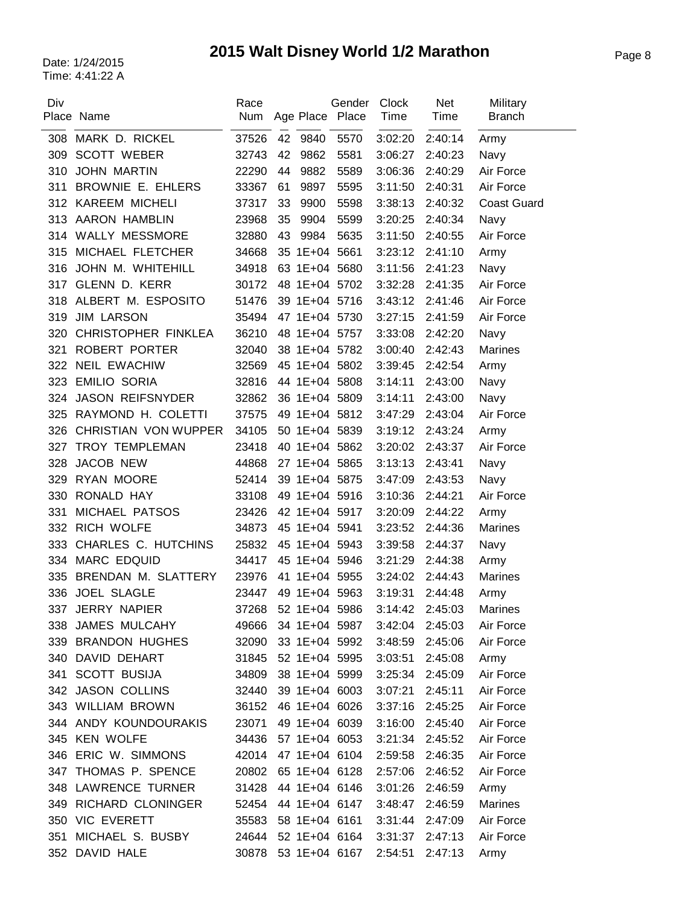# Page 8 Date: 1/24/2015 **2015 Walt Disney World 1/2 Marathon**

| Div | Place Name              | Race<br>Num |    | Age Place Place | Gender | Clock<br>Time   | <b>Net</b><br>Time | Military<br><b>Branch</b> |
|-----|-------------------------|-------------|----|-----------------|--------|-----------------|--------------------|---------------------------|
| 308 | MARK D. RICKEL          | 37526       |    | 42 9840         | 5570   | 3:02:20         | 2:40:14            | Army                      |
| 309 | <b>SCOTT WEBER</b>      | 32743       | 42 | 9862            | 5581   | 3:06:27         | 2:40:23            | Navy                      |
| 310 | <b>JOHN MARTIN</b>      | 22290       | 44 | 9882            | 5589   | 3:06:36         | 2:40:29            | Air Force                 |
| 311 | BROWNIE E. EHLERS       | 33367       | 61 | 9897            | 5595   | 3:11:50         | 2:40:31            | Air Force                 |
|     | 312 KAREEM MICHELI      | 37317       | 33 | 9900            | 5598   | 3:38:13         | 2:40:32            | <b>Coast Guard</b>        |
|     | 313 AARON HAMBLIN       | 23968       | 35 | 9904            | 5599   | 3:20:25         | 2:40:34            | Navy                      |
|     | 314 WALLY MESSMORE      | 32880       | 43 | 9984            | 5635   | 3:11:50         | 2:40:55            | Air Force                 |
| 315 | MICHAEL FLETCHER        | 34668       |    | 35 1E+04 5661   |        | 3:23:12         | 2:41:10            | Army                      |
| 316 | JOHN M. WHITEHILL       | 34918       |    | 63 1E+04 5680   |        | 3:11:56         | 2:41:23            | Navy                      |
|     | 317 GLENN D. KERR       | 30172       |    | 48 1E+04 5702   |        | 3:32:28         | 2:41:35            | Air Force                 |
| 318 | ALBERT M. ESPOSITO      | 51476       |    | 39 1E+04 5716   |        | 3:43:12         | 2:41:46            | Air Force                 |
| 319 | <b>JIM LARSON</b>       | 35494       |    | 47 1E+04 5730   |        | 3:27:15         | 2:41:59            | Air Force                 |
| 320 | CHRISTOPHER FINKLEA     | 36210       |    | 48 1E+04 5757   |        | 3:33:08         | 2:42:20            | Navy                      |
| 321 | <b>ROBERT PORTER</b>    | 32040       |    | 38 1E+04 5782   |        | 3:00:40         | 2:42:43            | <b>Marines</b>            |
| 322 | <b>NEIL EWACHIW</b>     | 32569       |    | 45 1E+04 5802   |        | 3:39:45         | 2:42:54            | Army                      |
| 323 | <b>EMILIO SORIA</b>     | 32816       |    | 44 1E+04 5808   |        | 3:14:11         | 2:43:00            | Navy                      |
| 324 | <b>JASON REIFSNYDER</b> | 32862       |    | 36 1E+04 5809   |        | 3:14:11         | 2:43:00            | Navy                      |
| 325 | RAYMOND H. COLETTI      | 37575       |    | 49 1E+04 5812   |        | 3:47:29         | 2:43:04            | Air Force                 |
| 326 | CHRISTIAN VON WUPPER    | 34105       |    | 50 1E+04 5839   |        | 3:19:12         | 2:43:24            | Army                      |
| 327 | TROY TEMPLEMAN          | 23418       |    | 40 1E+04 5862   |        | 3:20:02         | 2:43:37            | Air Force                 |
| 328 | JACOB NEW               | 44868       |    | 27 1E+04 5865   |        | 3:13:13         | 2:43:41            | Navy                      |
| 329 | RYAN MOORE              | 52414       |    | 39 1E+04 5875   |        | 3:47:09         | 2:43:53            | Navy                      |
| 330 | RONALD HAY              | 33108       |    | 49 1E+04 5916   |        | 3:10:36         | 2:44:21            | Air Force                 |
| 331 | MICHAEL PATSOS          | 23426       |    | 42 1E+04 5917   |        | 3:20:09         | 2:44:22            | Army                      |
| 332 | RICH WOLFE              | 34873       |    | 45 1E+04 5941   |        | 3:23:52         | 2:44:36            | <b>Marines</b>            |
| 333 | CHARLES C. HUTCHINS     | 25832       |    | 45 1E+04 5943   |        | 3:39:58         | 2:44:37            | Navy                      |
| 334 | <b>MARC EDQUID</b>      | 34417       |    | 45 1E+04 5946   |        | 3:21:29         | 2:44:38            | Army                      |
| 335 | BRENDAN M. SLATTERY     | 23976       |    | 41 1E+04 5955   |        | 3:24:02         | 2:44:43            | <b>Marines</b>            |
| 336 | <b>JOEL SLAGLE</b>      | 23447       |    | 49 1E+04 5963   |        | 3:19:31         | 2:44:48            | Army                      |
|     | 337 JERRY NAPIER        | 37268       |    | 52 1E+04 5986   |        | 3:14:42         | 2:45:03            | Marines                   |
|     | 338 JAMES MULCAHY       | 49666       |    | 34 1E+04 5987   |        | 3:42:04         | 2:45:03            | Air Force                 |
|     | 339 BRANDON HUGHES      | 32090       |    | 33 1E+04 5992   |        | 3:48:59         | 2:45:06            | Air Force                 |
|     | 340 DAVID DEHART        | 31845       |    | 52 1E+04 5995   |        | 3:03:51         | 2:45:08            | Army                      |
|     | 341 SCOTT BUSIJA        | 34809       |    | 38 1E+04 5999   |        | 3:25:34         | 2:45:09            | Air Force                 |
|     | 342 JASON COLLINS       | 32440       |    | 39 1E+04 6003   |        | 3:07:21         | 2:45:11            | Air Force                 |
|     | 343 WILLIAM BROWN       | 36152       |    | 46 1E+04 6026   |        | 3:37:16         | 2:45:25            | Air Force                 |
|     | 344 ANDY KOUNDOURAKIS   | 23071       |    | 49 1E+04 6039   |        | 3:16:00         | 2:45:40            | Air Force                 |
|     | 345 KEN WOLFE           | 34436       |    | 57 1E+04 6053   |        | 3:21:34 2:45:52 |                    | Air Force                 |
|     | 346 ERIC W. SIMMONS     | 42014       |    | 47 1E+04 6104   |        | 2:59:58         | 2:46:35            | Air Force                 |
|     | 347 THOMAS P. SPENCE    | 20802       |    | 65 1E+04 6128   |        | 2:57:06 2:46:52 |                    | Air Force                 |
|     | 348 LAWRENCE TURNER     | 31428       |    | 44 1E+04 6146   |        | 3:01:26         | 2:46:59            | Army                      |
| 349 | RICHARD CLONINGER       | 52454       |    | 44 1E+04 6147   |        | 3:48:47         | 2:46:59            | <b>Marines</b>            |
|     | 350 VIC EVERETT         | 35583       |    | 58 1E+04 6161   |        | 3:31:44         | 2:47:09            | Air Force                 |
| 351 | MICHAEL S. BUSBY        | 24644       |    | 52 1E+04 6164   |        | 3:31:37         | 2:47:13            | Air Force                 |
| 352 | DAVID HALE              | 30878       |    | 53 1E+04 6167   |        | 2:54:51         | 2:47:13            | Army                      |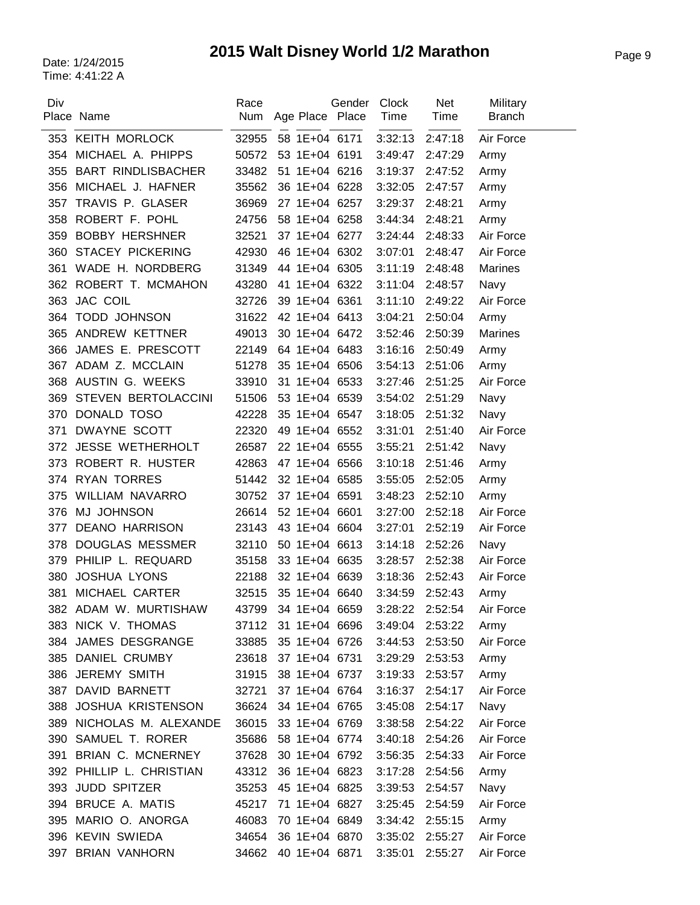| Div | Place Name                | Race<br>Num | Age Place Place | Gender | <b>Clock</b><br>Time | Net<br>Time | Military<br><b>Branch</b> |
|-----|---------------------------|-------------|-----------------|--------|----------------------|-------------|---------------------------|
|     | 353 KEITH MORLOCK         | 32955       | 58 1E+04 6171   |        | 3:32:13              | 2:47:18     | Air Force                 |
| 354 | MICHAEL A. PHIPPS         | 50572       | 53 1E+04 6191   |        | 3:49:47              | 2:47:29     | Army                      |
| 355 | <b>BART RINDLISBACHER</b> | 33482       | 51 1E+04 6216   |        | 3:19:37              | 2:47:52     | Army                      |
| 356 | MICHAEL J. HAFNER         | 35562       | 36 1E+04 6228   |        | 3:32:05              | 2:47:57     | Army                      |
| 357 | TRAVIS P. GLASER          | 36969       | 27 1E+04 6257   |        | 3:29:37              | 2:48:21     | Army                      |
| 358 | ROBERT F. POHL            | 24756       | 58 1E+04 6258   |        | 3:44:34              | 2:48:21     | Army                      |
| 359 | <b>BOBBY HERSHNER</b>     | 32521       | 37 1E+04 6277   |        | 3:24:44              | 2:48:33     | Air Force                 |
| 360 | <b>STACEY PICKERING</b>   | 42930       | 46 1E+04 6302   |        | 3:07:01              | 2:48:47     | Air Force                 |
| 361 | WADE H. NORDBERG          | 31349       | 44 1E+04 6305   |        | 3:11:19              | 2:48:48     | <b>Marines</b>            |
| 362 | ROBERT T. MCMAHON         | 43280       | 41 1E+04 6322   |        | 3:11:04              | 2:48:57     | Navy                      |
| 363 | <b>JAC COIL</b>           | 32726       | 39 1E+04 6361   |        | 3:11:10              | 2:49:22     | Air Force                 |
| 364 | <b>TODD JOHNSON</b>       | 31622       | 42 1E+04 6413   |        | 3:04:21              | 2:50:04     | Army                      |
| 365 | ANDREW KETTNER            | 49013       | 30 1E+04 6472   |        | 3:52:46              | 2:50:39     | Marines                   |
| 366 | JAMES E. PRESCOTT         | 22149       | 64 1E+04 6483   |        | 3:16:16              | 2:50:49     | Army                      |
| 367 | ADAM Z. MCCLAIN           | 51278       | 35 1E+04 6506   |        | 3:54:13              | 2:51:06     | Army                      |
| 368 | AUSTIN G. WEEKS           | 33910       | 31 1E+04 6533   |        | 3:27:46              | 2:51:25     | Air Force                 |
| 369 | STEVEN BERTOLACCINI       | 51506       | 53 1E+04 6539   |        | 3:54:02              | 2:51:29     | Navy                      |
| 370 | DONALD TOSO               | 42228       | 35 1E+04 6547   |        | 3:18:05              | 2:51:32     | Navy                      |
| 371 | DWAYNE SCOTT              | 22320       | 49 1E+04 6552   |        | 3:31:01              | 2:51:40     | Air Force                 |
|     | 372 JESSE WETHERHOLT      | 26587       | 22 1E+04 6555   |        | 3:55:21              | 2:51:42     | Navy                      |
| 373 | ROBERT R. HUSTER          | 42863       | 47 1E+04 6566   |        | 3:10:18              | 2:51:46     | Army                      |
| 374 | <b>RYAN TORRES</b>        | 51442       | 32 1E+04 6585   |        | 3:55:05              | 2:52:05     | Army                      |
| 375 | WILLIAM NAVARRO           | 30752       | 37 1E+04 6591   |        | 3:48:23              | 2:52:10     | Army                      |
| 376 | <b>MJ JOHNSON</b>         | 26614       | 52 1E+04 6601   |        | 3:27:00              | 2:52:18     | Air Force                 |
| 377 | <b>DEANO HARRISON</b>     | 23143       | 43 1E+04 6604   |        | 3:27:01              | 2:52:19     | Air Force                 |
| 378 | <b>DOUGLAS MESSMER</b>    | 32110       | 50 1E+04 6613   |        | 3:14:18              | 2:52:26     | Navy                      |
| 379 | PHILIP L. REQUARD         | 35158       | 33 1E+04 6635   |        | 3:28:57              | 2:52:38     | Air Force                 |
| 380 | <b>JOSHUA LYONS</b>       | 22188       | 32 1E+04 6639   |        | 3:18:36              | 2:52:43     | Air Force                 |
| 381 | MICHAEL CARTER            | 32515       | 35 1E+04 6640   |        | 3:34:59              | 2:52:43     | Army                      |
|     | 382 ADAM W. MURTISHAW     | 43799       | 34 1E+04 6659   |        | 3:28:22              | 2:52:54     | Air Force                 |
|     | 383 NICK V. THOMAS        | 37112       | 31 1E+04 6696   |        | 3:49:04              | 2:53:22     | Army                      |
|     | 384 JAMES DESGRANGE       | 33885       | 35 1E+04 6726   |        | 3:44:53              | 2:53:50     | Air Force                 |
|     | 385 DANIEL CRUMBY         | 23618       | 37 1E+04 6731   |        | 3:29:29              | 2:53:53     | Army                      |
|     | 386 JEREMY SMITH          | 31915       | 38 1E+04 6737   |        | 3:19:33              | 2:53:57     | Army                      |
| 387 | DAVID BARNETT             | 32721       | 37 1E+04 6764   |        | 3:16:37              | 2:54:17     | Air Force                 |
| 388 | <b>JOSHUA KRISTENSON</b>  | 36624       | 34 1E+04 6765   |        | 3:45:08              | 2:54:17     | Navy                      |
| 389 | NICHOLAS M. ALEXANDE      | 36015       | 33 1E+04 6769   |        | 3:38:58              | 2:54:22     | Air Force                 |
| 390 | SAMUEL T. RORER           | 35686       | 58 1E+04 6774   |        | 3:40:18              | 2:54:26     | Air Force                 |
| 391 | BRIAN C. MCNERNEY         | 37628       | 30 1E+04 6792   |        | 3:56:35              | 2:54:33     | Air Force                 |
|     | 392 PHILLIP L. CHRISTIAN  | 43312       | 36 1E+04 6823   |        | 3:17:28              | 2:54:56     | Army                      |
| 393 | <b>JUDD SPITZER</b>       | 35253       | 45 1E+04 6825   |        | 3:39:53              | 2:54:57     | Navy                      |
| 394 | <b>BRUCE A. MATIS</b>     | 45217       | 71 1E+04 6827   |        | 3:25:45              | 2:54:59     | Air Force                 |
| 395 | MARIO O. ANORGA           | 46083       | 70 1E+04 6849   |        | 3:34:42              | 2:55:15     | Army                      |
|     | 396 KEVIN SWIEDA          | 34654       | 36 1E+04 6870   |        | 3:35:02              | 2:55:27     | Air Force                 |
| 397 | <b>BRIAN VANHORN</b>      | 34662       | 40 1E+04 6871   |        | 3:35:01              | 2:55:27     | Air Force                 |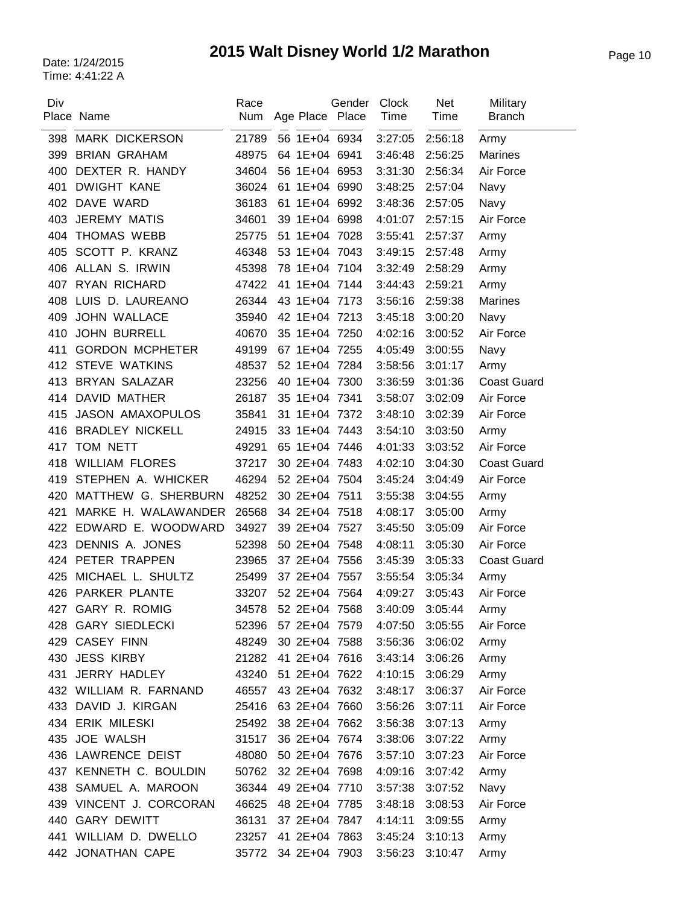| Div | Place Name              | Race<br>Num | Age Place Place | Gender | Clock<br>Time | <b>Net</b><br>Time | Military<br><b>Branch</b> |
|-----|-------------------------|-------------|-----------------|--------|---------------|--------------------|---------------------------|
| 398 | <b>MARK DICKERSON</b>   | 21789       | 56 1E+04 6934   |        | 3:27:05       | 2:56:18            | Army                      |
| 399 | <b>BRIAN GRAHAM</b>     | 48975       | 64 1E+04 6941   |        | 3:46:48       | 2:56:25            | <b>Marines</b>            |
| 400 | DEXTER R. HANDY         | 34604       | 56 1E+04 6953   |        | 3:31:30       | 2:56:34            | Air Force                 |
| 401 | <b>DWIGHT KANE</b>      | 36024       | 61 1E+04 6990   |        | 3:48:25       | 2:57:04            | Navy                      |
| 402 | DAVE WARD               | 36183       | 61 1E+04 6992   |        | 3:48:36       | 2:57:05            | Navy                      |
| 403 | <b>JEREMY MATIS</b>     | 34601       | 39 1E+04 6998   |        | 4:01:07       | 2:57:15            | Air Force                 |
| 404 | THOMAS WEBB             | 25775       | 51 1E+04 7028   |        | 3:55:41       | 2:57:37            | Army                      |
| 405 | SCOTT P. KRANZ          | 46348       | 53 1E+04 7043   |        | 3:49:15       | 2:57:48            | Army                      |
| 406 | ALLAN S. IRWIN          | 45398       | 78 1E+04 7104   |        | 3:32:49       | 2:58:29            | Army                      |
| 407 | RYAN RICHARD            | 47422       | 41 1E+04 7144   |        | 3:44:43       | 2:59:21            | Army                      |
| 408 | LUIS D. LAUREANO        | 26344       | 43 1E+04 7173   |        | 3:56:16       | 2:59:38            | <b>Marines</b>            |
| 409 | <b>JOHN WALLACE</b>     | 35940       | 42 1E+04 7213   |        | 3:45:18       | 3:00:20            | Navy                      |
| 410 | <b>JOHN BURRELL</b>     | 40670       | 35 1E+04 7250   |        | 4:02:16       | 3:00:52            | Air Force                 |
| 411 | <b>GORDON MCPHETER</b>  | 49199       | 67 1E+04 7255   |        | 4:05:49       | 3:00:55            | Navy                      |
| 412 | <b>STEVE WATKINS</b>    | 48537       | 52 1E+04 7284   |        | 3:58:56       | 3:01:17            | Army                      |
| 413 | <b>BRYAN SALAZAR</b>    | 23256       | 40 1E+04 7300   |        | 3:36:59       | 3:01:36            | <b>Coast Guard</b>        |
| 414 | <b>DAVID MATHER</b>     | 26187       | 35 1E+04 7341   |        | 3:58:07       | 3:02:09            | Air Force                 |
| 415 | <b>JASON AMAXOPULOS</b> | 35841       | 31 1E+04 7372   |        | 3:48:10       | 3:02:39            | Air Force                 |
| 416 | <b>BRADLEY NICKELL</b>  | 24915       | 33 1E+04 7443   |        | 3:54:10       | 3:03:50            | Army                      |
| 417 | TOM NETT                | 49291       | 65 1E+04 7446   |        | 4:01:33       | 3:03:52            | Air Force                 |
| 418 | <b>WILLIAM FLORES</b>   | 37217       | 30 2E+04 7483   |        | 4:02:10       | 3:04:30            | <b>Coast Guard</b>        |
| 419 | STEPHEN A. WHICKER      | 46294       | 52 2E+04 7504   |        | 3:45:24       | 3:04:49            | Air Force                 |
| 420 | MATTHEW G. SHERBURN     | 48252       | 30 2E+04 7511   |        | 3:55:38       | 3:04:55            | Army                      |
| 421 | MARKE H. WALAWANDER     | 26568       | 34 2E+04 7518   |        | 4:08:17       | 3:05:00            | Army                      |
| 422 | EDWARD E. WOODWARD      | 34927       | 39 2E+04 7527   |        | 3:45:50       | 3:05:09            | Air Force                 |
| 423 | DENNIS A. JONES         | 52398       | 50 2E+04 7548   |        | 4:08:11       | 3:05:30            | Air Force                 |
| 424 | PETER TRAPPEN           | 23965       | 37 2E+04 7556   |        | 3:45:39       | 3:05:33            | <b>Coast Guard</b>        |
| 425 | MICHAEL L. SHULTZ       | 25499       | 37 2E+04 7557   |        | 3:55:54       | 3:05:34            | Army                      |
|     | 426 PARKER PLANTE       | 33207       | 52 2E+04 7564   |        | 4:09:27       | 3:05:43            | Air Force                 |
| 427 | GARY R. ROMIG           | 34578       | 52 2E+04 7568   |        | 3:40:09       | 3:05:44            | Army                      |
|     | 428 GARY SIEDLECKI      | 52396       | 57 2E+04 7579   |        | 4:07:50       | 3:05:55            | Air Force                 |
|     | 429 CASEY FINN          | 48249       | 30 2E+04 7588   |        | 3:56:36       | 3:06:02            | Army                      |
|     | 430 JESS KIRBY          | 21282       | 41 2E+04 7616   |        | 3:43:14       | 3:06:26            | Army                      |
| 431 | JERRY HADLEY            | 43240       | 51 2E+04 7622   |        | 4:10:15       | 3:06:29            | Army                      |
|     | 432 WILLIAM R. FARNAND  | 46557       | 43 2E+04 7632   |        | 3:48:17       | 3:06:37            | Air Force                 |
| 433 | DAVID J. KIRGAN         | 25416       | 63 2E+04 7660   |        | 3:56:26       | 3:07:11            | Air Force                 |
|     | 434 ERIK MILESKI        | 25492       | 38 2E+04 7662   |        | 3:56:38       | 3:07:13            | Army                      |
|     | 435 JOE WALSH           | 31517       | 36 2E+04 7674   |        | 3:38:06       | 3:07:22            | Army                      |
|     | 436 LAWRENCE DEIST      | 48080       | 50 2E+04 7676   |        | 3:57:10       | 3:07:23            | Air Force                 |
|     | 437 KENNETH C. BOULDIN  | 50762       | 32 2E+04 7698   |        | 4:09:16       | 3:07:42            | Army                      |
| 438 | SAMUEL A. MAROON        | 36344       | 49 2E+04 7710   |        | 3:57:38       | 3:07:52            | Navy                      |
| 439 | VINCENT J. CORCORAN     | 46625       | 48 2E+04 7785   |        | 3:48:18       | 3:08:53            | Air Force                 |
|     | 440 GARY DEWITT         | 36131       | 37 2E+04 7847   |        | 4:14:11       | 3:09:55            | Army                      |
|     | 441 WILLIAM D. DWELLO   | 23257       | 41 2E+04 7863   |        | 3:45:24       | 3:10:13            | Army                      |
|     | 442 JONATHAN CAPE       | 35772       | 34 2E+04 7903   |        | 3:56:23       | 3:10:47            | Army                      |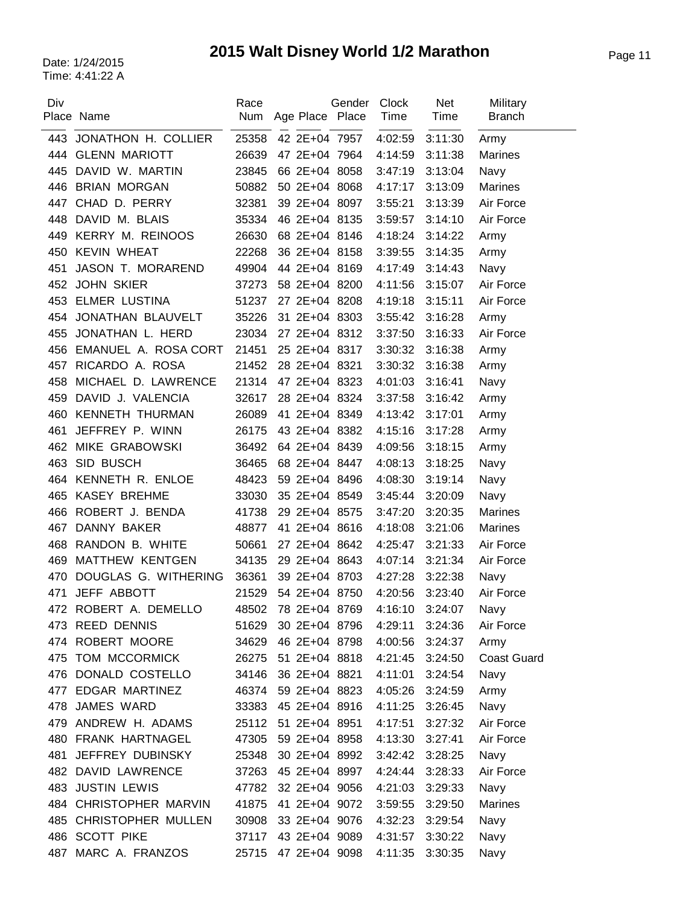| Div | Place Name              | Race<br>Num | Age Place Place     | Gender | Clock<br>Time   | <b>Net</b><br>Time | Military<br><b>Branch</b> |
|-----|-------------------------|-------------|---------------------|--------|-----------------|--------------------|---------------------------|
|     | 443 JONATHON H. COLLIER | 25358       | 42 2E+04 7957       |        | 4:02:59         | 3:11:30            | Army                      |
|     | 444 GLENN MARIOTT       | 26639       | 47 2E+04 7964       |        | 4:14:59         | 3:11:38            | <b>Marines</b>            |
| 445 | DAVID W. MARTIN         | 23845       | 66 2E+04 8058       |        | 3:47:19         | 3:13:04            | Navy                      |
| 446 | <b>BRIAN MORGAN</b>     | 50882       | 50 2E+04 8068       |        | 4:17:17         | 3:13:09            | Marines                   |
| 447 | CHAD D. PERRY           | 32381       | 39 2E+04 8097       |        | 3:55:21         | 3:13:39            | Air Force                 |
| 448 | DAVID M. BLAIS          | 35334       | 46 2E+04 8135       |        | 3:59:57         | 3:14:10            | Air Force                 |
| 449 | <b>KERRY M. REINOOS</b> | 26630       | 68 2E+04 8146       |        | 4:18:24         | 3:14:22            | Army                      |
| 450 | <b>KEVIN WHEAT</b>      | 22268       | 36 2E+04 8158       |        | 3:39:55         | 3:14:35            | Army                      |
| 451 | JASON T. MORAREND       | 49904       | 44 2E+04 8169       |        | 4:17:49         | 3:14:43            | Navy                      |
| 452 | <b>JOHN SKIER</b>       | 37273       | 58 2E+04 8200       |        | 4:11:56         | 3:15:07            | Air Force                 |
| 453 | <b>ELMER LUSTINA</b>    | 51237       | 27 2E+04 8208       |        | 4:19:18         | 3:15:11            | Air Force                 |
| 454 | JONATHAN BLAUVELT       | 35226       | 31 2E+04 8303       |        | 3:55:42         | 3:16:28            | Army                      |
| 455 | JONATHAN L. HERD        | 23034       | 27 2E+04 8312       |        | 3:37:50         | 3:16:33            | Air Force                 |
| 456 | EMANUEL A. ROSA CORT    | 21451       | 25 2E+04 8317       |        | 3:30:32         | 3:16:38            | Army                      |
| 457 | RICARDO A. ROSA         | 21452       | 28 2E+04 8321       |        | 3:30:32         | 3:16:38            | Army                      |
| 458 | MICHAEL D. LAWRENCE     | 21314       | 47 2E+04 8323       |        | 4:01:03         | 3:16:41            | Navy                      |
| 459 | DAVID J. VALENCIA       | 32617       | 28 2E+04 8324       |        | 3:37:58         | 3:16:42            | Army                      |
| 460 | <b>KENNETH THURMAN</b>  | 26089       | 41 2E+04 8349       |        | 4:13:42         | 3:17:01            | Army                      |
| 461 | JEFFREY P. WINN         | 26175       | 43 2E+04 8382       |        | 4:15:16         | 3:17:28            | Army                      |
| 462 | MIKE GRABOWSKI          | 36492       | 64 2E+04 8439       |        | 4:09:56         | 3:18:15            | Army                      |
| 463 | SID BUSCH               | 36465       | 68 2E+04 8447       |        | 4:08:13         | 3:18:25            | Navy                      |
| 464 | KENNETH R. ENLOE        | 48423       | 59 2E+04 8496       |        | 4:08:30         | 3:19:14            | Navy                      |
| 465 | <b>KASEY BREHME</b>     | 33030       | 35 2E+04 8549       |        | 3:45:44         | 3:20:09            | Navy                      |
| 466 | ROBERT J. BENDA         | 41738       | 29 2E+04 8575       |        | 3:47:20         | 3:20:35            | <b>Marines</b>            |
| 467 | DANNY BAKER             | 48877       | 41 2E+04 8616       |        | 4:18:08         | 3:21:06            | <b>Marines</b>            |
| 468 | RANDON B. WHITE         | 50661       | 27 2E+04 8642       |        | 4:25:47         | 3:21:33            | Air Force                 |
| 469 | MATTHEW KENTGEN         | 34135       | 29 2E+04 8643       |        | 4:07:14         | 3:21:34            | Air Force                 |
| 470 | DOUGLAS G. WITHERING    | 36361       | 39 2E+04 8703       |        | 4:27:28         | 3:22:38            | Navy                      |
| 471 | JEFF ABBOTT             | 21529       | 54 2E+04 8750       |        | 4:20:56         | 3:23:40            | Air Force                 |
|     | 472 ROBERT A. DEMELLO   |             | 48502 78 2E+04 8769 |        | 4:16:10         | 3:24:07            | Navy                      |
|     | 473 REED DENNIS         | 51629       | 30 2E+04 8796       |        | 4:29:11         | 3:24:36            | Air Force                 |
|     | 474 ROBERT MOORE        | 34629       | 46 2E+04 8798       |        | 4:00:56         | 3:24:37            | Army                      |
|     | 475 TOM MCCORMICK       | 26275       | 51 2E+04 8818       |        | 4:21:45         | 3:24:50            | <b>Coast Guard</b>        |
|     | 476 DONALD COSTELLO     | 34146       | 36 2E+04 8821       |        | 4:11:01         | 3:24:54            | Navy                      |
|     | 477 EDGAR MARTINEZ      |             | 46374 59 2E+04 8823 |        | 4:05:26         | 3:24:59            | Army                      |
| 478 | JAMES WARD              | 33383       | 45 2E+04 8916       |        | 4:11:25         | 3:26:45            | Navy                      |
| 479 | ANDREW H. ADAMS         | 25112       | 51 2E+04 8951       |        | 4:17:51         | 3:27:32            | Air Force                 |
|     | 480 FRANK HARTNAGEL     | 47305       | 59 2E+04 8958       |        | 4:13:30         | 3:27:41            | Air Force                 |
| 481 | JEFFREY DUBINSKY        | 25348       | 30 2E+04 8992       |        | 3:42:42         | 3:28:25            | Navy                      |
|     | 482 DAVID LAWRENCE      |             | 37263 45 2E+04 8997 |        | 4:24:44         | 3:28:33            | Air Force                 |
|     | 483 JUSTIN LEWIS        | 47782       | 32 2E+04 9056       |        | 4:21:03         | 3:29:33            | Navy                      |
| 484 | CHRISTOPHER MARVIN      | 41875       | 41 2E+04 9072       |        | 3:59:55         | 3:29:50            | Marines                   |
|     | 485 CHRISTOPHER MULLEN  | 30908       | 33 2E+04 9076       |        | 4:32:23         | 3:29:54            | Navy                      |
|     | 486 SCOTT PIKE          | 37117       | 43 2E+04 9089       |        | 4:31:57         | 3:30:22            | Navy                      |
| 487 | MARC A. FRANZOS         | 25715       | 47 2E+04 9098       |        | 4:11:35 3:30:35 |                    | Navy                      |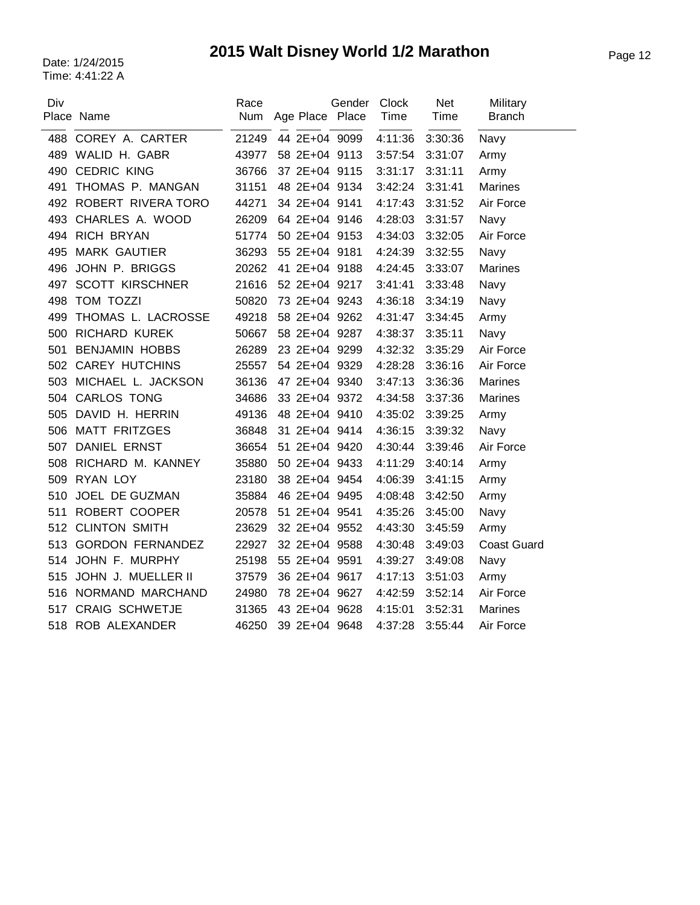|                         | Race                                                                                                                                                                                                                                                                     |     | Clock                                                                                                                                                                                                                                                                                                                                                                                                                                                                                                                                                                    | <b>Net</b> | Military           |
|-------------------------|--------------------------------------------------------------------------------------------------------------------------------------------------------------------------------------------------------------------------------------------------------------------------|-----|--------------------------------------------------------------------------------------------------------------------------------------------------------------------------------------------------------------------------------------------------------------------------------------------------------------------------------------------------------------------------------------------------------------------------------------------------------------------------------------------------------------------------------------------------------------------------|------------|--------------------|
|                         |                                                                                                                                                                                                                                                                          |     |                                                                                                                                                                                                                                                                                                                                                                                                                                                                                                                                                                          |            | <b>Branch</b>      |
|                         | 21249                                                                                                                                                                                                                                                                    |     | 4:11:36                                                                                                                                                                                                                                                                                                                                                                                                                                                                                                                                                                  | 3:30:36    | Navy               |
|                         | 43977                                                                                                                                                                                                                                                                    |     | 3:57:54                                                                                                                                                                                                                                                                                                                                                                                                                                                                                                                                                                  | 3:31:07    | Army               |
| <b>CEDRIC KING</b>      | 36766                                                                                                                                                                                                                                                                    |     | 3:31:17                                                                                                                                                                                                                                                                                                                                                                                                                                                                                                                                                                  | 3:31:11    | Army               |
| THOMAS P. MANGAN        | 31151                                                                                                                                                                                                                                                                    |     | 3:42:24                                                                                                                                                                                                                                                                                                                                                                                                                                                                                                                                                                  | 3:31:41    | <b>Marines</b>     |
|                         | 44271                                                                                                                                                                                                                                                                    |     | 4:17:43                                                                                                                                                                                                                                                                                                                                                                                                                                                                                                                                                                  | 3:31:52    | Air Force          |
| CHARLES A. WOOD         | 26209                                                                                                                                                                                                                                                                    |     | 4:28:03                                                                                                                                                                                                                                                                                                                                                                                                                                                                                                                                                                  | 3:31:57    | Navy               |
|                         | 51774                                                                                                                                                                                                                                                                    |     | 4:34:03                                                                                                                                                                                                                                                                                                                                                                                                                                                                                                                                                                  | 3:32:05    | Air Force          |
| <b>MARK GAUTIER</b>     | 36293                                                                                                                                                                                                                                                                    |     | 4:24:39                                                                                                                                                                                                                                                                                                                                                                                                                                                                                                                                                                  | 3:32:55    | Navy               |
| JOHN P. BRIGGS          | 20262                                                                                                                                                                                                                                                                    |     | 4:24:45                                                                                                                                                                                                                                                                                                                                                                                                                                                                                                                                                                  | 3:33:07    | <b>Marines</b>     |
| <b>SCOTT KIRSCHNER</b>  | 21616                                                                                                                                                                                                                                                                    |     | 3:41:41                                                                                                                                                                                                                                                                                                                                                                                                                                                                                                                                                                  | 3:33:48    | Navy               |
| <b>TOM TOZZI</b>        | 50820                                                                                                                                                                                                                                                                    |     | 4:36:18                                                                                                                                                                                                                                                                                                                                                                                                                                                                                                                                                                  | 3:34:19    | Navy               |
| THOMAS L. LACROSSE      | 49218                                                                                                                                                                                                                                                                    |     | 4:31:47                                                                                                                                                                                                                                                                                                                                                                                                                                                                                                                                                                  | 3:34:45    | Army               |
| <b>RICHARD KUREK</b>    | 50667                                                                                                                                                                                                                                                                    |     | 4:38:37                                                                                                                                                                                                                                                                                                                                                                                                                                                                                                                                                                  | 3:35:11    | Navy               |
| <b>BENJAMIN HOBBS</b>   | 26289                                                                                                                                                                                                                                                                    |     | 4:32:32                                                                                                                                                                                                                                                                                                                                                                                                                                                                                                                                                                  | 3:35:29    | Air Force          |
|                         | 25557                                                                                                                                                                                                                                                                    |     | 4:28:28                                                                                                                                                                                                                                                                                                                                                                                                                                                                                                                                                                  | 3:36:16    | Air Force          |
|                         | 36136                                                                                                                                                                                                                                                                    |     | 3:47:13                                                                                                                                                                                                                                                                                                                                                                                                                                                                                                                                                                  | 3:36:36    | <b>Marines</b>     |
|                         | 34686                                                                                                                                                                                                                                                                    |     | 4:34:58                                                                                                                                                                                                                                                                                                                                                                                                                                                                                                                                                                  | 3:37:36    | <b>Marines</b>     |
| DAVID H. HERRIN         | 49136                                                                                                                                                                                                                                                                    |     | 4:35:02                                                                                                                                                                                                                                                                                                                                                                                                                                                                                                                                                                  | 3:39:25    | Army               |
| <b>MATT FRITZGES</b>    | 36848                                                                                                                                                                                                                                                                    |     | 4:36:15                                                                                                                                                                                                                                                                                                                                                                                                                                                                                                                                                                  | 3:39:32    | Navy               |
| <b>DANIEL ERNST</b>     | 36654                                                                                                                                                                                                                                                                    |     | 4:30:44                                                                                                                                                                                                                                                                                                                                                                                                                                                                                                                                                                  | 3:39:46    | Air Force          |
|                         | 35880                                                                                                                                                                                                                                                                    |     | 4:11:29                                                                                                                                                                                                                                                                                                                                                                                                                                                                                                                                                                  | 3:40:14    | Army               |
| <b>RYAN LOY</b>         | 23180                                                                                                                                                                                                                                                                    |     | 4:06:39                                                                                                                                                                                                                                                                                                                                                                                                                                                                                                                                                                  | 3:41:15    | Army               |
| JOEL DE GUZMAN          | 35884                                                                                                                                                                                                                                                                    |     | 4:08:48                                                                                                                                                                                                                                                                                                                                                                                                                                                                                                                                                                  | 3:42:50    | Army               |
|                         | 20578                                                                                                                                                                                                                                                                    |     | 4:35:26                                                                                                                                                                                                                                                                                                                                                                                                                                                                                                                                                                  | 3:45:00    | Navy               |
|                         | 23629                                                                                                                                                                                                                                                                    |     | 4:43:30                                                                                                                                                                                                                                                                                                                                                                                                                                                                                                                                                                  | 3:45:59    | Army               |
| <b>GORDON FERNANDEZ</b> | 22927                                                                                                                                                                                                                                                                    |     | 4:30:48                                                                                                                                                                                                                                                                                                                                                                                                                                                                                                                                                                  | 3:49:03    | <b>Coast Guard</b> |
| JOHN F. MURPHY          | 25198                                                                                                                                                                                                                                                                    |     | 4:39:27                                                                                                                                                                                                                                                                                                                                                                                                                                                                                                                                                                  | 3:49:08    | Navy               |
| JOHN J. MUELLER II      | 37579                                                                                                                                                                                                                                                                    |     | 4:17:13                                                                                                                                                                                                                                                                                                                                                                                                                                                                                                                                                                  | 3:51:03    | Army               |
|                         | 24980                                                                                                                                                                                                                                                                    |     | 4:42:59                                                                                                                                                                                                                                                                                                                                                                                                                                                                                                                                                                  | 3:52:14    | Air Force          |
| <b>CRAIG SCHWETJE</b>   | 31365                                                                                                                                                                                                                                                                    |     | 4:15:01                                                                                                                                                                                                                                                                                                                                                                                                                                                                                                                                                                  | 3:52:31    | <b>Marines</b>     |
|                         | 46250                                                                                                                                                                                                                                                                    |     | 4:37:28                                                                                                                                                                                                                                                                                                                                                                                                                                                                                                                                                                  | 3:55:44    | Air Force          |
|                         | Place Name<br>488 COREY A. CARTER<br>WALID H. GABR<br>492 ROBERT RIVERA TORO<br><b>RICH BRYAN</b><br>502 CAREY HUTCHINS<br>503 MICHAEL L. JACKSON<br>504 CARLOS TONG<br>RICHARD M. KANNEY<br>ROBERT COOPER<br>512 CLINTON SMITH<br>NORMAND MARCHAND<br>518 ROB ALEXANDER | Num | Gender<br>Age Place Place<br>44 2E+04 9099<br>58 2E+04 9113<br>37 2E+04 9115<br>48 2E+04 9134<br>34 2E+04 9141<br>64 2E+04 9146<br>50 2E+04 9153<br>55 2E+04 9181<br>41 2E+04 9188<br>52 2E+04 9217<br>73 2E+04 9243<br>58 2E+04 9262<br>58 2E+04 9287<br>23 2E+04 9299<br>54 2E+04 9329<br>47 2E+04 9340<br>33 2E+04 9372<br>48 2E+04 9410<br>31 2E+04 9414<br>51 2E+04 9420<br>50 2E+04 9433<br>38 2E+04 9454<br>46 2E+04 9495<br>51 2E+04 9541<br>32 2E+04 9552<br>32 2E+04 9588<br>55 2E+04 9591<br>36 2E+04 9617<br>78 2E+04 9627<br>43 2E+04 9628<br>39 2E+04 9648 | Time       | <b>Time</b>        |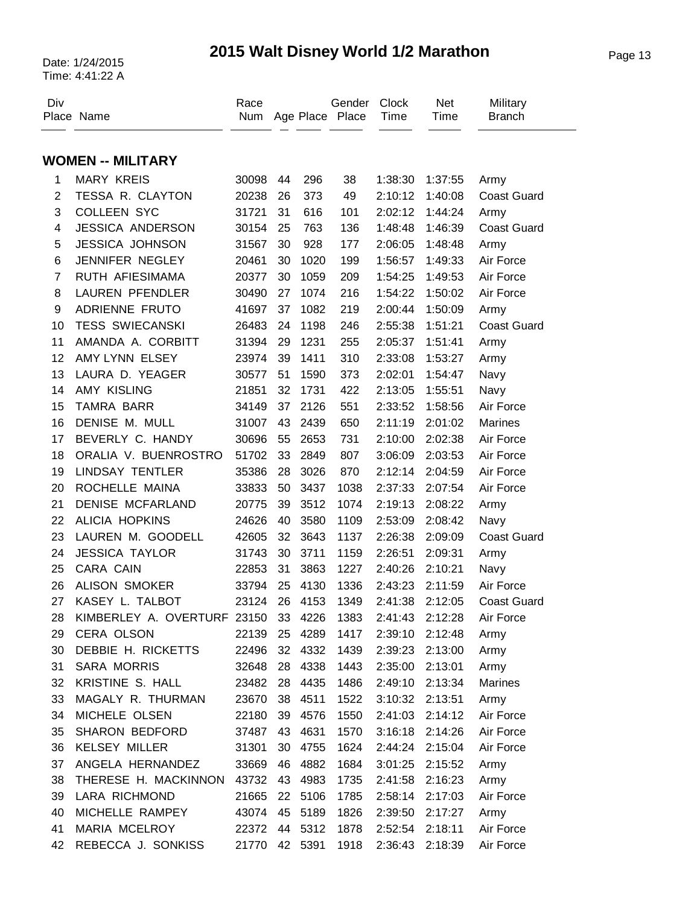# Page 13 Date: 1/24/2015 **2015 Walt Disney World 1/2 Marathon**

| Div            | Place Name                  | Race<br>Num |    |         | Gender<br>Age Place Place | Clock<br>Time   | Net<br>Time     | Military<br><b>Branch</b> |
|----------------|-----------------------------|-------------|----|---------|---------------------------|-----------------|-----------------|---------------------------|
|                | <b>WOMEN -- MILITARY</b>    |             |    |         |                           |                 |                 |                           |
| 1              | <b>MARY KREIS</b>           | 30098       | 44 | 296     | 38                        | 1:38:30         | 1:37:55         | Army                      |
| $\overline{2}$ | TESSA R. CLAYTON            | 20238       | 26 | 373     | 49                        | 2:10:12         | 1:40:08         | <b>Coast Guard</b>        |
| 3              | <b>COLLEEN SYC</b>          | 31721       | 31 | 616     | 101                       | 2:02:12         | 1:44:24         | Army                      |
| 4              | <b>JESSICA ANDERSON</b>     | 30154       | 25 | 763     | 136                       | 1:48:48         | 1:46:39         | <b>Coast Guard</b>        |
| 5              | <b>JESSICA JOHNSON</b>      | 31567       | 30 | 928     | 177                       | 2:06:05         | 1:48:48         | Army                      |
| 6              | JENNIFER NEGLEY             | 20461       | 30 | 1020    | 199                       | 1:56:57         | 1:49:33         | Air Force                 |
| $\overline{7}$ | RUTH AFIESIMAMA             | 20377       | 30 | 1059    | 209                       | 1:54:25         | 1:49:53         | Air Force                 |
| 8              | <b>LAUREN PFENDLER</b>      | 30490       | 27 | 1074    | 216                       | 1:54:22         | 1:50:02         | Air Force                 |
| 9              | ADRIENNE FRUTO              | 41697       | 37 | 1082    | 219                       | 2:00:44         | 1:50:09         | Army                      |
| 10             | <b>TESS SWIECANSKI</b>      | 26483       | 24 | 1198    | 246                       | 2:55:38         | 1:51:21         | <b>Coast Guard</b>        |
| 11             | AMANDA A. CORBITT           | 31394       | 29 | 1231    | 255                       | 2:05:37         | 1:51:41         | Army                      |
| 12             | AMY LYNN ELSEY              | 23974       | 39 | 1411    | 310                       | 2:33:08         | 1:53:27         | Army                      |
| 13             | LAURA D. YEAGER             | 30577       | 51 | 1590    | 373                       | 2:02:01         | 1:54:47         | Navy                      |
| 14             | AMY KISLING                 | 21851       | 32 | 1731    | 422                       | 2:13:05         | 1:55:51         | Navy                      |
| 15             | <b>TAMRA BARR</b>           | 34149       | 37 | 2126    | 551                       | 2:33:52         | 1:58:56         | Air Force                 |
| 16             | DENISE M. MULL              | 31007       | 43 | 2439    | 650                       | 2:11:19         | 2:01:02         | Marines                   |
| 17             | BEVERLY C. HANDY            | 30696       | 55 | 2653    | 731                       | 2:10:00         | 2:02:38         | Air Force                 |
| 18             | ORALIA V. BUENROSTRO        | 51702       | 33 | 2849    | 807                       | 3:06:09         | 2:03:53         | Air Force                 |
| 19             | <b>LINDSAY TENTLER</b>      | 35386       | 28 | 3026    | 870                       | 2:12:14         | 2:04:59         | Air Force                 |
| 20             | ROCHELLE MAINA              | 33833       | 50 | 3437    | 1038                      | 2:37:33         | 2:07:54         | Air Force                 |
| 21             | <b>DENISE MCFARLAND</b>     | 20775       | 39 | 3512    | 1074                      | 2:19:13         | 2:08:22         | Army                      |
| 22             | <b>ALICIA HOPKINS</b>       | 24626       | 40 | 3580    | 1109                      | 2:53:09         | 2:08:42         | Navy                      |
| 23             | LAUREN M. GOODELL           | 42605       | 32 | 3643    | 1137                      | 2:26:38         | 2:09:09         | <b>Coast Guard</b>        |
| 24             | <b>JESSICA TAYLOR</b>       | 31743       | 30 | 3711    | 1159                      | 2:26:51         | 2:09:31         | Army                      |
| 25             | CARA CAIN                   | 22853       | 31 | 3863    | 1227                      | 2:40:26         | 2:10:21         | Navy                      |
| 26             | <b>ALISON SMOKER</b>        | 33794       | 25 | 4130    | 1336                      | 2:43:23         | 2:11:59         | Air Force                 |
| 27             | KASEY L. TALBOT             | 23124       | 26 | 4153    | 1349                      | 2:41:38         | 2:12:05         | <b>Coast Guard</b>        |
| 28             | KIMBERLEY A. OVERTURF 23150 |             |    | 33 4226 | 1383                      | 2:41:43         | 2:12:28         | Air Force                 |
| 29             | CERA OLSON                  | 22139       | 25 | 4289    | 1417                      | 2:39:10         | 2:12:48         | Army                      |
| 30             | DEBBIE H. RICKETTS          | 22496       | 32 | 4332    | 1439                      |                 | 2:39:23 2:13:00 | Army                      |
| 31             | <b>SARA MORRIS</b>          | 32648       | 28 | 4338    | 1443                      | 2:35:00         | 2:13:01         | Army                      |
| 32             | KRISTINE S. HALL            | 23482       | 28 | 4435    | 1486                      | 2:49:10         | 2:13:34         | Marines                   |
| 33             | MAGALY R. THURMAN           | 23670       | 38 | 4511    | 1522                      | 3:10:32 2:13:51 |                 | Army                      |
| 34             | MICHELE OLSEN               | 22180       | 39 | 4576    | 1550                      | 2:41:03         | 2:14:12         | Air Force                 |
| 35             | SHARON BEDFORD              | 37487       | 43 | 4631    | 1570                      |                 | 3:16:18 2:14:26 | Air Force                 |
| 36             | <b>KELSEY MILLER</b>        | 31301       | 30 | 4755    | 1624                      | 2:44:24         | 2:15:04         | Air Force                 |
| 37             | ANGELA HERNANDEZ            | 33669       | 46 | 4882    | 1684                      | 3:01:25         | 2:15:52         | Army                      |
| 38             | THERESE H. MACKINNON 43732  |             | 43 | 4983    | 1735                      | 2:41:58         | 2:16:23         | Army                      |
| 39             | <b>LARA RICHMOND</b>        | 21665       | 22 | 5106    | 1785                      | 2:58:14         | 2:17:03         | Air Force                 |
| 40             | MICHELLE RAMPEY             | 43074       | 45 | 5189    | 1826                      | 2:39:50         | 2:17:27         | Army                      |
| 41             | MARIA MCELROY               | 22372       | 44 | 5312    | 1878                      | 2:52:54         | 2:18:11         | Air Force                 |
| 42             | REBECCA J. SONKISS          | 21770       |    | 42 5391 | 1918                      | 2:36:43         | 2:18:39         | Air Force                 |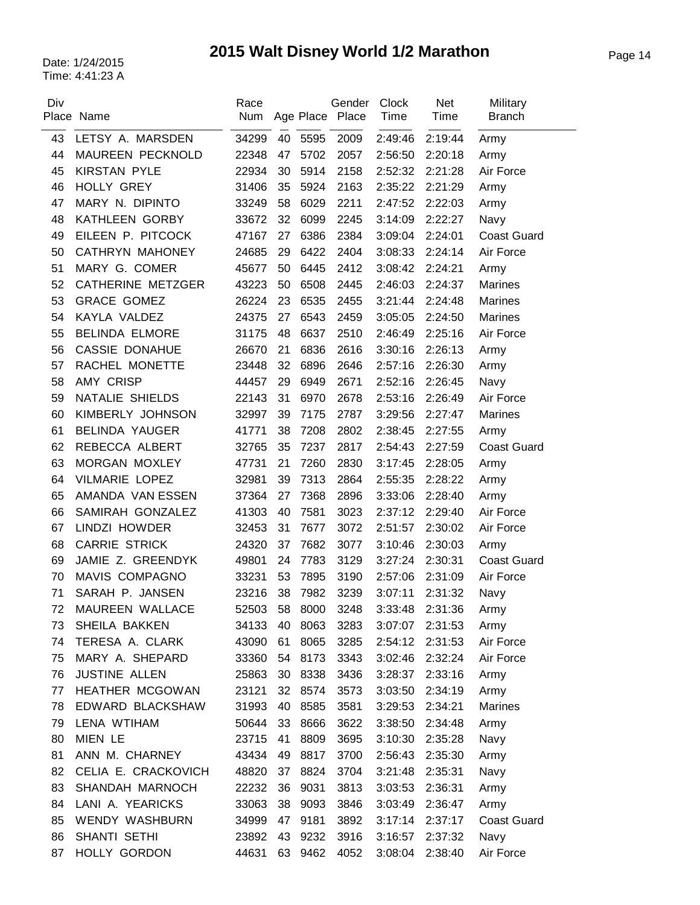# Page 14 Date: 1/24/2015 **2015 Walt Disney World 1/2 Marathon**

| Div | Place Name               | Race<br>Num |    |         | Gender<br>Age Place Place | <b>Clock</b><br>Time | <b>Net</b><br>Time | Military<br><b>Branch</b> |
|-----|--------------------------|-------------|----|---------|---------------------------|----------------------|--------------------|---------------------------|
| 43  | LETSY A. MARSDEN         | 34299       | 40 | 5595    | 2009                      | 2:49:46              | 2:19:44            | Army                      |
| 44  | MAUREEN PECKNOLD         | 22348       | 47 | 5702    | 2057                      | 2:56:50              | 2:20:18            | Army                      |
| 45  | <b>KIRSTAN PYLE</b>      | 22934       | 30 | 5914    | 2158                      | 2:52:32              | 2:21:28            | Air Force                 |
| 46  | HOLLY GREY               | 31406       | 35 | 5924    | 2163                      | 2:35:22              | 2:21:29            | Army                      |
| 47  | MARY N. DIPINTO          | 33249       | 58 | 6029    | 2211                      | 2:47:52              | 2:22:03            | Army                      |
| 48  | KATHLEEN GORBY           | 33672       | 32 | 6099    | 2245                      | 3:14:09              | 2:22:27            | Navy                      |
| 49  | EILEEN P. PITCOCK        | 47167       | 27 | 6386    | 2384                      | 3:09:04              | 2:24:01            | <b>Coast Guard</b>        |
| 50  | CATHRYN MAHONEY          | 24685       | 29 | 6422    | 2404                      | 3:08:33              | 2:24:14            | Air Force                 |
| 51  | MARY G. COMER            | 45677       | 50 | 6445    | 2412                      | 3:08:42              | 2:24:21            | Army                      |
| 52  | <b>CATHERINE METZGER</b> | 43223       | 50 | 6508    | 2445                      | 2:46:03              | 2:24:37            | Marines                   |
| 53  | <b>GRACE GOMEZ</b>       | 26224       | 23 | 6535    | 2455                      | 3:21:44              | 2:24:48            | <b>Marines</b>            |
| 54  | KAYLA VALDEZ             | 24375       | 27 | 6543    | 2459                      | 3:05:05              | 2:24:50            | <b>Marines</b>            |
| 55  | <b>BELINDA ELMORE</b>    | 31175       | 48 | 6637    | 2510                      | 2:46:49              | 2:25:16            | Air Force                 |
| 56  | <b>CASSIE DONAHUE</b>    | 26670       | 21 | 6836    | 2616                      | 3:30:16              | 2:26:13            | Army                      |
| 57  | RACHEL MONETTE           | 23448       | 32 | 6896    | 2646                      | 2:57:16              | 2:26:30            | Army                      |
| 58  | <b>AMY CRISP</b>         | 44457       | 29 | 6949    | 2671                      | 2:52:16              | 2:26:45            | Navy                      |
| 59  | NATALIE SHIELDS          | 22143       | 31 | 6970    | 2678                      | 2:53:16              | 2:26:49            | Air Force                 |
| 60  | KIMBERLY JOHNSON         | 32997       | 39 | 7175    | 2787                      | 3:29:56              | 2:27:47            | <b>Marines</b>            |
| 61  | <b>BELINDA YAUGER</b>    | 41771       | 38 | 7208    | 2802                      | 2:38:45              | 2:27:55            | Army                      |
| 62  | REBECCA ALBERT           | 32765       | 35 | 7237    | 2817                      | 2:54:43              | 2:27:59            | <b>Coast Guard</b>        |
| 63  | MORGAN MOXLEY            | 47731       | 21 | 7260    | 2830                      | 3:17:45              | 2:28:05            | Army                      |
| 64  | <b>VILMARIE LOPEZ</b>    | 32981       | 39 | 7313    | 2864                      | 2:55:35              | 2:28:22            | Army                      |
| 65  | AMANDA VAN ESSEN         | 37364       | 27 | 7368    | 2896                      | 3:33:06              | 2:28:40            | Army                      |
| 66  | SAMIRAH GONZALEZ         | 41303       | 40 | 7581    | 3023                      | 2:37:12              | 2:29:40            | Air Force                 |
| 67  | LINDZI HOWDER            | 32453       | 31 | 7677    | 3072                      | 2:51:57              | 2:30:02            | Air Force                 |
| 68  | <b>CARRIE STRICK</b>     | 24320       | 37 | 7682    | 3077                      | 3:10:46              | 2:30:03            | Army                      |
| 69  | JAMIE Z. GREENDYK        | 49801       | 24 | 7783    | 3129                      | 3:27:24              | 2:30:31            | <b>Coast Guard</b>        |
| 70  | MAVIS COMPAGNO           | 33231       | 53 | 7895    | 3190                      | 2:57:06              | 2:31:09            | Air Force                 |
| 71  | SARAH P. JANSEN          | 23216       | 38 | 7982    | 3239                      | 3:07:11              | 2:31:32            | Navy                      |
| 72  | MAUREEN WALLACE          | 52503       |    | 58 8000 | 3248                      | 3:33:48              | 2:31:36            | Army                      |
| 73  | SHEILA BAKKEN            | 34133       | 40 | 8063    | 3283                      | 3:07:07              | 2:31:53            | Army                      |
| 74  | TERESA A. CLARK          | 43090       | 61 | 8065    | 3285                      | 2:54:12              | 2:31:53            | Air Force                 |
| 75  | MARY A. SHEPARD          | 33360       | 54 | 8173    | 3343                      | 3:02:46              | 2:32:24            | Air Force                 |
| 76  | <b>JUSTINE ALLEN</b>     | 25863       | 30 | 8338    | 3436                      | 3:28:37              | 2:33:16            | Army                      |
| 77  | HEATHER MCGOWAN          | 23121       | 32 | 8574    | 3573                      | 3:03:50              | 2:34:19            | Army                      |
| 78  | EDWARD BLACKSHAW         | 31993       | 40 | 8585    | 3581                      | 3:29:53              | 2:34:21            | Marines                   |
| 79  | LENA WTIHAM              | 50644       | 33 | 8666    | 3622                      | 3:38:50              | 2:34:48            | Army                      |
| 80  | MIEN LE                  | 23715       | 41 | 8809    | 3695                      | 3:10:30              | 2:35:28            | Navy                      |
| 81  | ANN M. CHARNEY           | 43434       | 49 | 8817    | 3700                      | 2:56:43              | 2:35:30            | Army                      |
| 82  | CELIA E. CRACKOVICH      | 48820       | 37 | 8824    | 3704                      | 3:21:48              | 2:35:31            | Navy                      |
| 83  | SHANDAH MARNOCH          | 22232       | 36 | 9031    | 3813                      | 3:03:53              | 2:36:31            | Army                      |
| 84  | LANI A. YEARICKS         | 33063       | 38 | 9093    | 3846                      | 3:03:49              | 2:36:47            | Army                      |
| 85  | WENDY WASHBURN           | 34999       | 47 | 9181    | 3892                      | 3:17:14              | 2:37:17            | <b>Coast Guard</b>        |
| 86  | SHANTI SETHI             | 23892       | 43 | 9232    | 3916                      | 3:16:57              | 2:37:32            | Navy                      |
| 87  | HOLLY GORDON             | 44631       | 63 | 9462    | 4052                      | 3:08:04              | 2:38:40            | Air Force                 |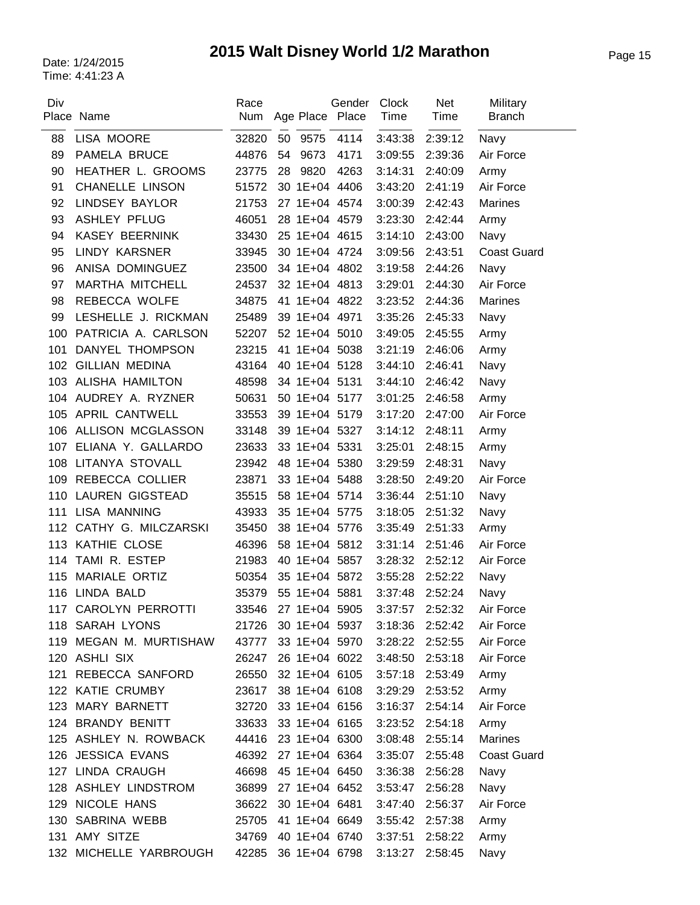# Page 15 Date: 1/24/2015 **2015 Walt Disney World 1/2 Marathon**

| Div | Place Name              | Race<br>Num | Age Place Place     | Gender | Clock<br>Time   | <b>Net</b><br>Time | Military<br><b>Branch</b> |
|-----|-------------------------|-------------|---------------------|--------|-----------------|--------------------|---------------------------|
| 88  | LISA MOORE              | 32820       | 50<br>9575          | 4114   | 3:43:38         | 2:39:12            | Navy                      |
| 89  | PAMELA BRUCE            | 44876       | 54<br>9673          | 4171   | 3:09:55         | 2:39:36            | Air Force                 |
| 90  | HEATHER L. GROOMS       | 23775       | 9820<br>28          | 4263   | 3:14:31         | 2:40:09            | Army                      |
| 91  | <b>CHANELLE LINSON</b>  | 51572       | 30 1E+04 4406       |        | 3:43:20         | 2:41:19            | Air Force                 |
| 92  | LINDSEY BAYLOR          | 21753       | 27 1E+04 4574       |        | 3:00:39         | 2:42:43            | Marines                   |
| 93  | <b>ASHLEY PFLUG</b>     | 46051       | 28 1E+04 4579       |        | 3:23:30         | 2:42:44            | Army                      |
| 94  | <b>KASEY BEERNINK</b>   | 33430       | 25 1E+04 4615       |        | 3:14:10         | 2:43:00            | Navy                      |
| 95  | <b>LINDY KARSNER</b>    | 33945       | 30 1E+04 4724       |        | 3:09:56         | 2:43:51            | <b>Coast Guard</b>        |
| 96  | ANISA DOMINGUEZ         | 23500       | 34 1E+04 4802       |        | 3:19:58         | 2:44:26            | Navy                      |
| 97  | MARTHA MITCHELL         | 24537       | 32 1E+04 4813       |        | 3:29:01         | 2:44:30            | Air Force                 |
| 98  | REBECCA WOLFE           | 34875       | 41 1E+04 4822       |        | 3:23:52         | 2:44:36            | Marines                   |
| 99  | LESHELLE J. RICKMAN     | 25489       | 39 1E+04 4971       |        | 3:35:26         | 2:45:33            | Navy                      |
| 100 | PATRICIA A. CARLSON     | 52207       | 52 1E+04 5010       |        | 3:49:05         | 2:45:55            | Army                      |
| 101 | <b>DANYEL THOMPSON</b>  | 23215       | 41 1E+04 5038       |        | 3:21:19         | 2:46:06            | Army                      |
| 102 | <b>GILLIAN MEDINA</b>   | 43164       | 40 1E+04 5128       |        | 3:44:10         | 2:46:41            | Navy                      |
| 103 | ALISHA HAMILTON         | 48598       | 34 1E+04 5131       |        | 3:44:10         | 2:46:42            | Navy                      |
| 104 | AUDREY A. RYZNER        | 50631       | 50 1E+04 5177       |        | 3:01:25         | 2:46:58            | Army                      |
|     | 105 APRIL CANTWELL      | 33553       | 39 1E+04 5179       |        | 3:17:20         | 2:47:00            | Air Force                 |
| 106 | ALLISON MCGLASSON       | 33148       | 39 1E+04 5327       |        | 3:14:12         | 2:48:11            | Army                      |
|     | 107 ELIANA Y. GALLARDO  | 23633       | 33 1E+04 5331       |        | 3:25:01         | 2:48:15            | Army                      |
|     | 108 LITANYA STOVALL     | 23942       | 48 1E+04 5380       |        | 3:29:59         | 2:48:31            | Navy                      |
| 109 | REBECCA COLLIER         | 23871       | 33 1E+04 5488       |        | 3:28:50         | 2:49:20            | Air Force                 |
| 110 | LAUREN GIGSTEAD         | 35515       | 58 1E+04 5714       |        | 3:36:44         | 2:51:10            | Navy                      |
| 111 | <b>LISA MANNING</b>     | 43933       | 35 1E+04 5775       |        | 3:18:05         | 2:51:32            | Navy                      |
|     | 112 CATHY G. MILCZARSKI | 35450       | 38 1E+04 5776       |        | 3:35:49         | 2:51:33            | Army                      |
|     | 113 KATHIE CLOSE        | 46396       | 58 1E+04 5812       |        | 3:31:14         | 2:51:46            | Air Force                 |
| 114 | TAMI R. ESTEP           | 21983       | 40 1E+04 5857       |        | 3:28:32         | 2:52:12            | Air Force                 |
| 115 | MARIALE ORTIZ           | 50354       | 35 1E+04 5872       |        | 3:55:28         | 2:52:22            | Navy                      |
|     | 116 LINDA BALD          | 35379       | 55 1E+04 5881       |        | 3:37:48         | 2:52:24            | Navy                      |
| 117 | CAROLYN PERROTTI        | 33546       | 27 1E+04 5905       |        | 3:37:57         | 2:52:32            | Air Force                 |
|     | 118 SARAH LYONS         | 21726       | 30 1E+04 5937       |        | 3:18:36         | 2:52:42            | Air Force                 |
| 119 | MEGAN M. MURTISHAW      | 43777       | 33 1E+04 5970       |        | 3:28:22         | 2:52:55            | Air Force                 |
|     | 120 ASHLI SIX           | 26247       | 26 1E+04 6022       |        | 3:48:50         | 2:53:18            | Air Force                 |
| 121 | REBECCA SANFORD         | 26550       | 32 1E+04 6105       |        | 3:57:18         | 2:53:49            | Army                      |
|     | 122 KATIE CRUMBY        | 23617       | 38 1E+04 6108       |        | 3:29:29 2:53:52 |                    | Army                      |
| 123 | MARY BARNETT            | 32720       | 33 1E+04 6156       |        | 3:16:37         | 2:54:14            | Air Force                 |
|     | 124 BRANDY BENITT       | 33633       | 33 1E+04 6165       |        | 3:23:52         | 2:54:18            | Army                      |
|     | 125 ASHLEY N. ROWBACK   | 44416       | 23 1E+04 6300       |        | 3:08:48         | 2:55:14            | Marines                   |
|     | 126 JESSICA EVANS       | 46392       | 27 1E+04 6364       |        | 3:35:07         | 2:55:48            | <b>Coast Guard</b>        |
|     | 127 LINDA CRAUGH        |             | 46698 45 1E+04 6450 |        | 3:36:38         | 2:56:28            | Navy                      |
|     | 128 ASHLEY LINDSTROM    | 36899       | 27 1E+04 6452       |        | 3:53:47         | 2:56:28            | Navy                      |
| 129 | NICOLE HANS             | 36622       | 30 1E+04 6481       |        | 3:47:40         | 2:56:37            | Air Force                 |
|     | 130 SABRINA WEBB        | 25705       | 41 1E+04 6649       |        | 3:55:42 2:57:38 |                    | Army                      |
|     | 131 AMY SITZE           | 34769       | 40 1E+04 6740       |        | 3:37:51         | 2:58:22            | Army                      |
| 132 | MICHELLE YARBROUGH      | 42285       | 36 1E+04 6798       |        | 3:13:27         | 2:58:45            | Navy                      |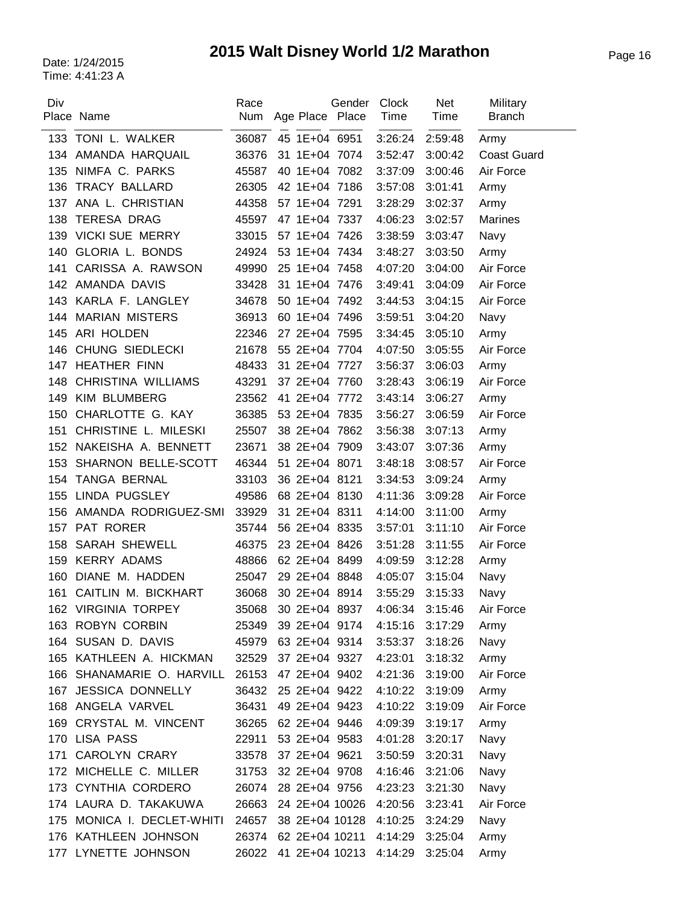# Page 16 Date: 1/24/2015 **2015 Walt Disney World 1/2 Marathon**

| Div | Place Name                | Race  | Num Age Place Place    | Gender | <b>Clock</b><br>Time | Net<br>Time | Military<br><b>Branch</b> |
|-----|---------------------------|-------|------------------------|--------|----------------------|-------------|---------------------------|
|     | 133 TONI L. WALKER        | 36087 | 45 1E+04 6951          |        | 3:26:24              | 2:59:48     | Army                      |
|     | 134 AMANDA HARQUAIL       | 36376 | 31 1E+04 7074          |        | 3:52:47              | 3:00:42     | <b>Coast Guard</b>        |
| 135 | NIMFA C. PARKS            | 45587 | 40 1E+04 7082          |        | 3:37:09              | 3:00:46     | Air Force                 |
| 136 | <b>TRACY BALLARD</b>      | 26305 | 42 1E+04 7186          |        | 3:57:08              | 3:01:41     | Army                      |
| 137 | ANA L. CHRISTIAN          | 44358 | 57 1E+04 7291          |        | 3:28:29              | 3:02:37     | Army                      |
| 138 | <b>TERESA DRAG</b>        | 45597 | 47 1E+04 7337          |        | 4:06:23              | 3:02:57     | Marines                   |
| 139 | <b>VICKI SUE MERRY</b>    | 33015 | 57 1E+04 7426          |        | 3:38:59              | 3:03:47     | Navy                      |
| 140 | GLORIA L. BONDS           | 24924 | 53 1E+04 7434          |        | 3:48:27              | 3:03:50     | Army                      |
| 141 | CARISSA A. RAWSON         | 49990 | 25 1E+04 7458          |        | 4:07:20              | 3:04:00     | Air Force                 |
|     | 142 AMANDA DAVIS          | 33428 | 31 1E+04 7476          |        | 3:49:41              | 3:04:09     | Air Force                 |
| 143 | KARLA F. LANGLEY          | 34678 | 50 1E+04 7492          |        | 3:44:53              | 3:04:15     | Air Force                 |
| 144 | <b>MARIAN MISTERS</b>     | 36913 | 60 1E+04 7496          |        | 3:59:51              | 3:04:20     | Navy                      |
| 145 | ARI HOLDEN                | 22346 | 27 2E+04 7595          |        | 3:34:45              | 3:05:10     | Army                      |
| 146 | CHUNG SIEDLECKI           | 21678 | 55 2E+04 7704          |        | 4:07:50              | 3:05:55     | Air Force                 |
| 147 | <b>HEATHER FINN</b>       | 48433 | 31 2E+04 7727          |        | 3:56:37              | 3:06:03     | Army                      |
| 148 | CHRISTINA WILLIAMS        | 43291 | 37 2E+04 7760          |        | 3:28:43              | 3:06:19     | Air Force                 |
| 149 | <b>KIM BLUMBERG</b>       | 23562 | 41 2E+04 7772          |        | 3:43:14              | 3:06:27     | Army                      |
| 150 | CHARLOTTE G. KAY          | 36385 | 53 2E+04 7835          |        | 3:56:27              | 3:06:59     | Air Force                 |
| 151 | CHRISTINE L. MILESKI      | 25507 | 38 2E+04 7862          |        | 3:56:38              | 3:07:13     | Army                      |
| 152 | NAKEISHA A. BENNETT       | 23671 | 38 2E+04 7909          |        | 3:43:07              | 3:07:36     | Army                      |
| 153 | SHARNON BELLE-SCOTT       | 46344 | 51 2E+04 8071          |        | 3:48:18              | 3:08:57     | Air Force                 |
|     | 154 TANGA BERNAL          | 33103 | 36 2E+04 8121          |        | 3:34:53              | 3:09:24     | Army                      |
| 155 | LINDA PUGSLEY             | 49586 | 68 2E+04 8130          |        | 4:11:36              | 3:09:28     | Air Force                 |
| 156 | AMANDA RODRIGUEZ-SMI      | 33929 | 31 2E+04 8311          |        | 4:14:00              | 3:11:00     | Army                      |
|     | 157 PAT RORER             | 35744 | 56 2E+04 8335          |        | 3:57:01              | 3:11:10     | Air Force                 |
| 158 | <b>SARAH SHEWELL</b>      | 46375 | 23 2E+04 8426          |        | 3:51:28              | 3:11:55     | Air Force                 |
| 159 | <b>KERRY ADAMS</b>        | 48866 | 62 2E+04 8499          |        | 4:09:59              | 3:12:28     | Army                      |
| 160 | DIANE M. HADDEN           | 25047 | 29 2E+04 8848          |        | 4:05:07              | 3:15:04     | Navy                      |
| 161 | CAITLIN M. BICKHART       | 36068 | 30 2E+04 8914          |        | 3:55:29              | 3:15:33     | Navy                      |
|     | 162 VIRGINIA TORPEY       |       | 35068 30 2E+04 8937    |        | 4:06:34              | 3:15:46     | Air Force                 |
|     | 163 ROBYN CORBIN          | 25349 | 39 2E+04 9174          |        | 4:15:16              | 3:17:29     | Army                      |
|     | 164 SUSAN D. DAVIS        | 45979 | 63 2E+04 9314          |        | 3:53:37              | 3:18:26     | Navy                      |
|     | 165 KATHLEEN A. HICKMAN   | 32529 | 37 2E+04 9327          |        | 4:23:01              | 3:18:32     | Army                      |
|     | 166 SHANAMARIE O. HARVILL | 26153 | 47 2E+04 9402          |        | 4:21:36              | 3:19:00     | Air Force                 |
| 167 | <b>JESSICA DONNELLY</b>   | 36432 | 25 2E+04 9422          |        | 4:10:22              | 3:19:09     | Army                      |
|     | 168 ANGELA VARVEL         | 36431 | 49 2E+04 9423          |        | 4:10:22              | 3:19:09     | Air Force                 |
| 169 | CRYSTAL M. VINCENT        | 36265 | 62 2E+04 9446          |        | 4:09:39              | 3:19:17     | Army                      |
|     | 170 LISA PASS             | 22911 | 53 2E+04 9583          |        | 4:01:28              | 3:20:17     | Navy                      |
| 171 | <b>CAROLYN CRARY</b>      | 33578 | 37 2E+04 9621          |        | 3:50:59              | 3:20:31     | Navy                      |
|     | 172 MICHELLE C. MILLER    | 31753 | 32 2E+04 9708          |        | 4:16:46              | 3:21:06     | Navy                      |
|     | 173 CYNTHIA CORDERO       | 26074 | 28 2E+04 9756          |        | 4:23:23              | 3:21:30     | Navy                      |
|     | 174 LAURA D. TAKAKUWA     | 26663 | 24 2E+04 10026         |        | 4:20:56              | 3:23:41     | Air Force                 |
| 175 | MONICA I. DECLET-WHITI    | 24657 | 38 2E+04 10128         |        | 4:10:25              | 3:24:29     | Navy                      |
|     | 176 KATHLEEN JOHNSON      | 26374 | 62 2E+04 10211         |        | 4:14:29              | 3:25:04     | Army                      |
| 177 | LYNETTE JOHNSON           | 26022 | 41 2E+04 10213 4:14:29 |        |                      | 3:25:04     | Army                      |